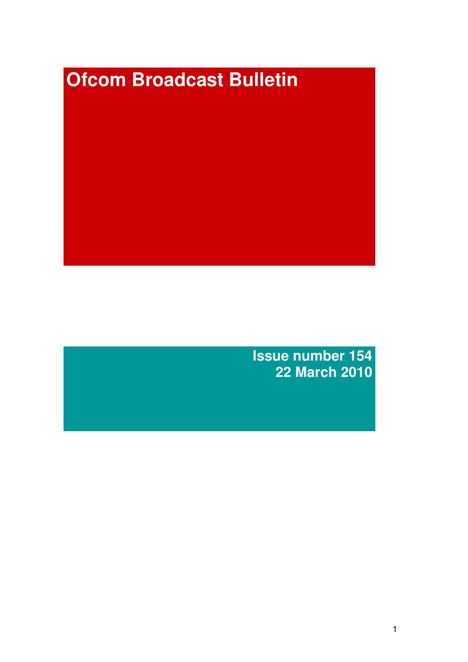# **Ofcom Broadcast Bulletin**

**Issue number 154 22 March 2010**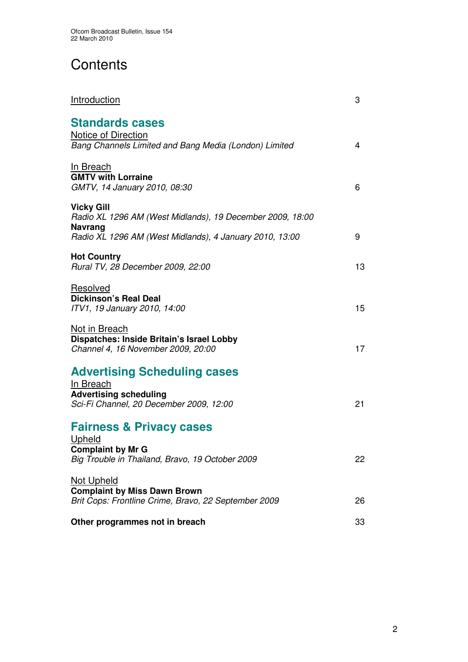# **Contents**

| <b>Introduction</b>                                                                                                                 | 3       |
|-------------------------------------------------------------------------------------------------------------------------------------|---------|
| <b>Standards cases</b><br>Notice of Direction<br>Bang Channels Limited and Bang Media (London) Limited                              | 4       |
| In Breach<br><b>GMTV with Lorraine</b><br>GMTV, 14 January 2010, 08:30                                                              | 6       |
| <b>Vicky Gill</b><br>Radio XL 1296 AM (West Midlands), 19 December 2009, 18:00<br><b>Navrang</b>                                    |         |
| Radio XL 1296 AM (West Midlands), 4 January 2010, 13:00<br><b>Hot Country</b><br>Rural TV, 28 December 2009, 22:00                  | 9<br>13 |
| Resolved<br><b>Dickinson's Real Deal</b><br>ITV1, 19 January 2010, 14:00                                                            | 15      |
| Not in Breach<br>Dispatches: Inside Britain's Israel Lobby<br>Channel 4, 16 November 2009, 20:00                                    | 17      |
| <b>Advertising Scheduling cases</b><br>In Breach<br><b>Advertising scheduling</b><br>Sci-Fi Channel, 20 December 2009, 12:00        | 21      |
| <b>Fairness &amp; Privacy cases</b><br><u>Upheld</u><br><b>Complaint by Mr G</b><br>Big Trouble in Thailand, Bravo, 19 October 2009 | 22      |
| <b>Not Upheld</b><br><b>Complaint by Miss Dawn Brown</b><br>Brit Cops: Frontline Crime, Bravo, 22 September 2009                    | 26      |
| Other programmes not in breach                                                                                                      | 33      |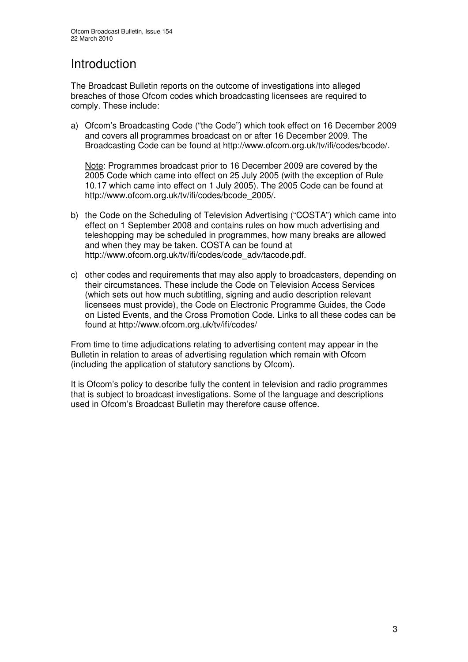## Introduction

The Broadcast Bulletin reports on the outcome of investigations into alleged breaches of those Ofcom codes which broadcasting licensees are required to comply. These include:

a) Ofcom's Broadcasting Code ("the Code") which took effect on 16 December 2009 and covers all programmes broadcast on or after 16 December 2009. The Broadcasting Code can be found at http://www.ofcom.org.uk/tv/ifi/codes/bcode/.

Note: Programmes broadcast prior to 16 December 2009 are covered by the 2005 Code which came into effect on 25 July 2005 (with the exception of Rule 10.17 which came into effect on 1 July 2005). The 2005 Code can be found at http://www.ofcom.org.uk/tv/ifi/codes/bcode\_2005/.

- b) the Code on the Scheduling of Television Advertising ("COSTA") which came into effect on 1 September 2008 and contains rules on how much advertising and teleshopping may be scheduled in programmes, how many breaks are allowed and when they may be taken. COSTA can be found at http://www.ofcom.org.uk/tv/ifi/codes/code\_adv/tacode.pdf.
- c) other codes and requirements that may also apply to broadcasters, depending on their circumstances. These include the Code on Television Access Services (which sets out how much subtitling, signing and audio description relevant licensees must provide), the Code on Electronic Programme Guides, the Code on Listed Events, and the Cross Promotion Code. Links to all these codes can be found at http://www.ofcom.org.uk/tv/ifi/codes/

From time to time adjudications relating to advertising content may appear in the Bulletin in relation to areas of advertising regulation which remain with Ofcom (including the application of statutory sanctions by Ofcom).

It is Ofcom's policy to describe fully the content in television and radio programmes that is subject to broadcast investigations. Some of the language and descriptions used in Ofcom's Broadcast Bulletin may therefore cause offence.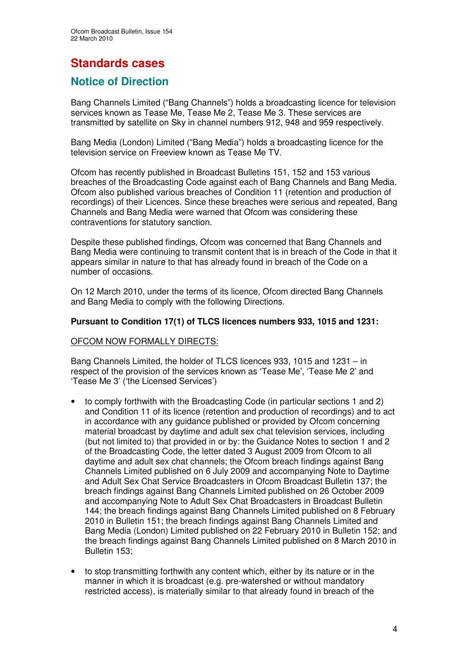# **Standards cases**

## **Notice of Direction**

Bang Channels Limited ("Bang Channels") holds a broadcasting licence for television services known as Tease Me, Tease Me 2, Tease Me 3. These services are transmitted by satellite on Sky in channel numbers 912, 948 and 959 respectively.

Bang Media (London) Limited ("Bang Media") holds a broadcasting licence for the television service on Freeview known as Tease Me TV.

Ofcom has recently published in Broadcast Bulletins 151, 152 and 153 various breaches of the Broadcasting Code against each of Bang Channels and Bang Media. Ofcom also published various breaches of Condition 11 (retention and production of recordings) of their Licences. Since these breaches were serious and repeated, Bang Channels and Bang Media were warned that Ofcom was considering these contraventions for statutory sanction.

Despite these published findings, Ofcom was concerned that Bang Channels and Bang Media were continuing to transmit content that is in breach of the Code in that it appears similar in nature to that has already found in breach of the Code on a number of occasions.

On 12 March 2010, under the terms of its licence, Ofcom directed Bang Channels and Bang Media to comply with the following Directions.

#### **Pursuant to Condition 17(1) of TLCS licences numbers 933, 1015 and 1231:**

#### OFCOM NOW FORMALLY DIRECTS:

Bang Channels Limited, the holder of TLCS licences 933, 1015 and 1231 – in respect of the provision of the services known as 'Tease Me', 'Tease Me 2' and 'Tease Me 3' ('the Licensed Services')

- to comply forthwith with the Broadcasting Code (in particular sections 1 and 2) and Condition 11 of its licence (retention and production of recordings) and to act in accordance with any guidance published or provided by Ofcom concerning material broadcast by daytime and adult sex chat television services, including (but not limited to) that provided in or by: the Guidance Notes to section 1 and 2 of the Broadcasting Code, the letter dated 3 August 2009 from Ofcom to all daytime and adult sex chat channels; the Ofcom breach findings against Bang Channels Limited published on 6 July 2009 and accompanying Note to Daytime and Adult Sex Chat Service Broadcasters in Ofcom Broadcast Bulletin 137; the breach findings against Bang Channels Limited published on 26 October 2009 and accompanying Note to Adult Sex Chat Broadcasters in Broadcast Bulletin 144; the breach findings against Bang Channels Limited published on 8 February 2010 in Bulletin 151; the breach findings against Bang Channels Limited and Bang Media (London) Limited published on 22 February 2010 in Bulletin 152; and the breach findings against Bang Channels Limited published on 8 March 2010 in Bulletin 153;
- to stop transmitting forthwith any content which, either by its nature or in the manner in which it is broadcast (e.g. pre-watershed or without mandatory restricted access), is materially similar to that already found in breach of the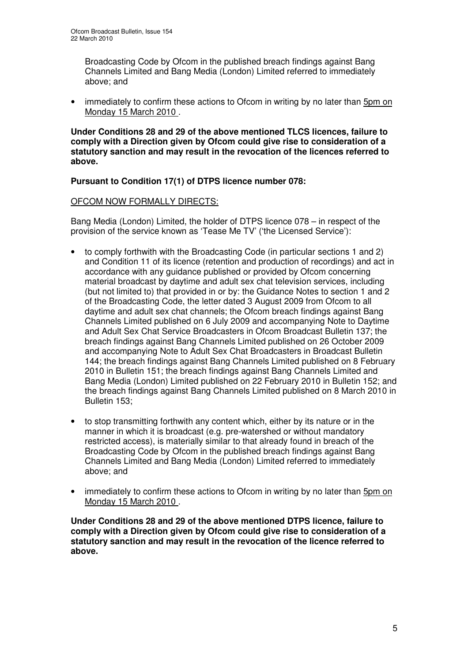Broadcasting Code by Ofcom in the published breach findings against Bang Channels Limited and Bang Media (London) Limited referred to immediately above; and

• immediately to confirm these actions to Ofcom in writing by no later than 5pm on Monday 15 March 2010 .

**Under Conditions 28 and 29 of the above mentioned TLCS licences, failure to comply with a Direction given by Ofcom could give rise to consideration of a statutory sanction and may result in the revocation of the licences referred to above.**

#### **Pursuant to Condition 17(1) of DTPS licence number 078:**

#### OFCOM NOW FORMALLY DIRECTS:

Bang Media (London) Limited, the holder of DTPS licence 078 – in respect of the provision of the service known as 'Tease Me TV' ('the Licensed Service'):

- to comply forthwith with the Broadcasting Code (in particular sections 1 and 2) and Condition 11 of its licence (retention and production of recordings) and act in accordance with any guidance published or provided by Ofcom concerning material broadcast by daytime and adult sex chat television services, including (but not limited to) that provided in or by: the Guidance Notes to section 1 and 2 of the Broadcasting Code, the letter dated 3 August 2009 from Ofcom to all daytime and adult sex chat channels; the Ofcom breach findings against Bang Channels Limited published on 6 July 2009 and accompanying Note to Daytime and Adult Sex Chat Service Broadcasters in Ofcom Broadcast Bulletin 137; the breach findings against Bang Channels Limited published on 26 October 2009 and accompanying Note to Adult Sex Chat Broadcasters in Broadcast Bulletin 144; the breach findings against Bang Channels Limited published on 8 February 2010 in Bulletin 151; the breach findings against Bang Channels Limited and Bang Media (London) Limited published on 22 February 2010 in Bulletin 152; and the breach findings against Bang Channels Limited published on 8 March 2010 in Bulletin 153;
- to stop transmitting forthwith any content which, either by its nature or in the manner in which it is broadcast (e.g. pre-watershed or without mandatory restricted access), is materially similar to that already found in breach of the Broadcasting Code by Ofcom in the published breach findings against Bang Channels Limited and Bang Media (London) Limited referred to immediately above; and
- immediately to confirm these actions to Ofcom in writing by no later than 5pm on Monday 15 March 2010 .

**Under Conditions 28 and 29 of the above mentioned DTPS licence, failure to comply with a Direction given by Ofcom could give rise to consideration of a statutory sanction and may result in the revocation of the licence referred to above.**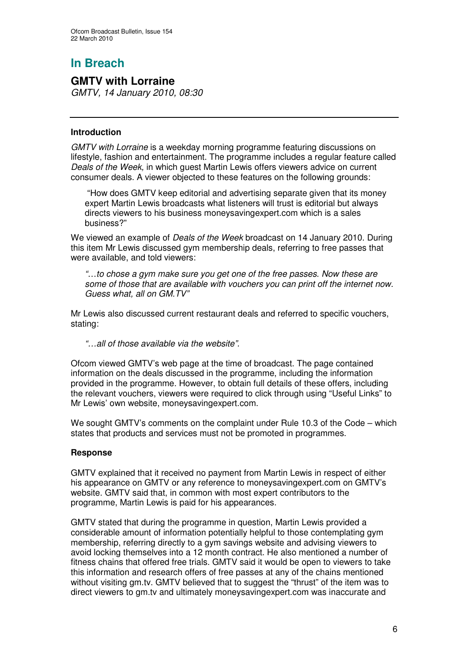# **In Breach**

## **GMTV with Lorraine**

*GMTV, 14 January 2010, 08:30*

#### **Introduction**

*GMTV with Lorraine* is a weekday morning programme featuring discussions on lifestyle, fashion and entertainment. The programme includes a regular feature called *Deals of the Week,* in which guest Martin Lewis offers viewers advice on current consumer deals. A viewer objected to these features on the following grounds:

"How does GMTV keep editorial and advertising separate given that its money expert Martin Lewis broadcasts what listeners will trust is editorial but always directs viewers to his business moneysavingexpert.com which is a sales business?"

We viewed an example of *Deals of the Week* broadcast on 14 January 2010. During this item Mr Lewis discussed gym membership deals, referring to free passes that were available, and told viewers:

*"*…*to chose a gym make sure you get one of the free passes. Now these are some of those that are available with vouchers you can print off the internet now. Guess what, all on GM.TV"*

Mr Lewis also discussed current restaurant deals and referred to specific vouchers, stating:

*"…all of those available via the website".*

Ofcom viewed GMTV's web page at the time of broadcast. The page contained information on the deals discussed in the programme, including the information provided in the programme. However, to obtain full details of these offers, including the relevant vouchers, viewers were required to click through using "Useful Links" to Mr Lewis' own website, moneysavingexpert.com.

We sought GMTV's comments on the complaint under Rule 10.3 of the Code – which states that products and services must not be promoted in programmes.

#### **Response**

GMTV explained that it received no payment from Martin Lewis in respect of either his appearance on GMTV or any reference to moneysavingexpert.com on GMTV's website. GMTV said that, in common with most expert contributors to the programme, Martin Lewis is paid for his appearances.

GMTV stated that during the programme in question, Martin Lewis provided a considerable amount of information potentially helpful to those contemplating gym membership, referring directly to a gym savings website and advising viewers to avoid locking themselves into a 12 month contract. He also mentioned a number of fitness chains that offered free trials. GMTV said it would be open to viewers to take this information and research offers of free passes at any of the chains mentioned without visiting gm.ty. GMTV believed that to suggest the "thrust" of the item was to direct viewers to gm.tv and ultimately moneysavingexpert.com was inaccurate and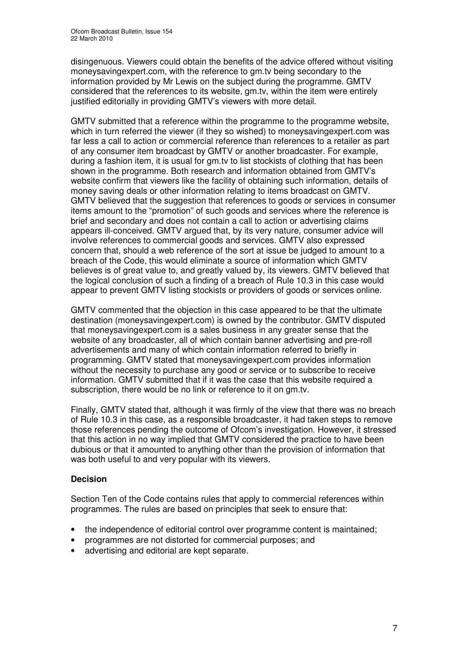disingenuous. Viewers could obtain the benefits of the advice offered without visiting moneysavingexpert.com, with the reference to gm.tv being secondary to the information provided by Mr Lewis on the subject during the programme. GMTV considered that the references to its website, gm.tv, within the item were entirely justified editorially in providing GMTV's viewers with more detail.

GMTV submitted that a reference within the programme to the programme website, which in turn referred the viewer (if they so wished) to moneysavingexpert.com was far less a call to action or commercial reference than references to a retailer as part of any consumer item broadcast by GMTV or another broadcaster. For example, during a fashion item, it is usual for gm.tv to list stockists of clothing that has been shown in the programme. Both research and information obtained from GMTV's website confirm that viewers like the facility of obtaining such information, details of money saving deals or other information relating to items broadcast on GMTV. GMTV believed that the suggestion that references to goods or services in consumer items amount to the "promotion" of such goods and services where the reference is brief and secondary and does not contain a call to action or advertising claims appears ill-conceived. GMTV argued that, by its very nature, consumer advice will involve references to commercial goods and services. GMTV also expressed concern that, should a web reference of the sort at issue be judged to amount to a breach of the Code, this would eliminate a source of information which GMTV believes is of great value to, and greatly valued by, its viewers. GMTV believed that the logical conclusion of such a finding of a breach of Rule 10.3 in this case would appear to prevent GMTV listing stockists or providers of goods or services online.

GMTV commented that the objection in this case appeared to be that the ultimate destination (moneysavingexpert.com) is owned by the contributor. GMTV disputed that moneysavingexpert.com is a sales business in any greater sense that the website of any broadcaster, all of which contain banner advertising and pre-roll advertisements and many of which contain information referred to briefly in programming. GMTV stated that moneysavingexpert.com provides information without the necessity to purchase any good or service or to subscribe to receive information. GMTV submitted that if it was the case that this website required a subscription, there would be no link or reference to it on gm.tv.

Finally, GMTV stated that, although it was firmly of the view that there was no breach of Rule 10.3 in this case, as a responsible broadcaster, it had taken steps to remove those references pending the outcome of Ofcom's investigation. However, it stressed that this action in no way implied that GMTV considered the practice to have been dubious or that it amounted to anything other than the provision of information that was both useful to and very popular with its viewers.

#### **Decision**

Section Ten of the Code contains rules that apply to commercial references within programmes. The rules are based on principles that seek to ensure that:

- the independence of editorial control over programme content is maintained:
- programmes are not distorted for commercial purposes; and
- advertising and editorial are kept separate.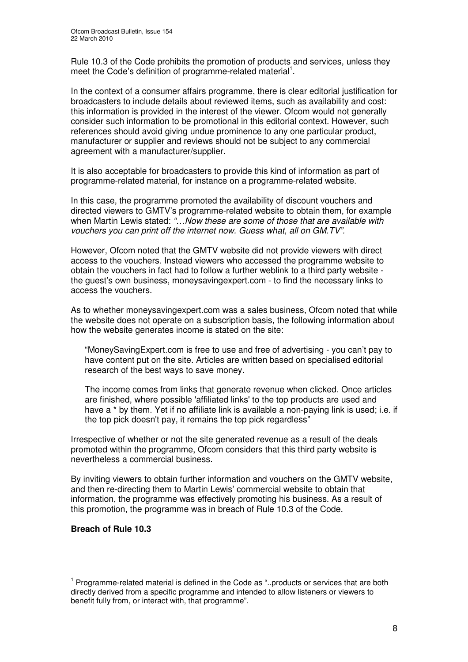Rule 10.3 of the Code prohibits the promotion of products and services, unless they meet the Code's definition of programme-related material<sup>1</sup>.

In the context of a consumer affairs programme, there is clear editorial justification for broadcasters to include details about reviewed items, such as availability and cost: this information is provided in the interest of the viewer. Ofcom would not generally consider such information to be promotional in this editorial context. However, such references should avoid giving undue prominence to any one particular product, manufacturer or supplier and reviews should not be subject to any commercial agreement with a manufacturer/supplier.

It is also acceptable for broadcasters to provide this kind of information as part of programme-related material, for instance on a programme-related website.

In this case, the programme promoted the availability of discount vouchers and directed viewers to GMTV's programme-related website to obtain them, for example when Martin Lewis stated: *"…Now these are some of those that are available with vouchers you can print off the internet now. Guess what, all on GM.TV".*

However, Ofcom noted that the GMTV website did not provide viewers with direct access to the vouchers. Instead viewers who accessed the programme website to obtain the vouchers in fact had to follow a further weblink to a third party website the guest's own business, moneysavingexpert.com - to find the necessary links to access the vouchers.

As to whether moneysavingexpert.com was a sales business, Ofcom noted that while the website does not operate on a subscription basis, the following information about how the website generates income is stated on the site:

"MoneySavingExpert.com is free to use and free of advertising - you can't pay to have content put on the site. Articles are written based on specialised editorial research of the best ways to save money.

The income comes from links that generate revenue when clicked. Once articles are finished, where possible 'affiliated links'to the top products are used and have a \* by them. Yet if no affiliate link is available a non-paying link is used; i.e. if the top pick doesn't pay, it remains the top pick regardless"

Irrespective of whether or not the site generated revenue as a result of the deals promoted within the programme, Ofcom considers that this third party website is nevertheless a commercial business.

By inviting viewers to obtain further information and vouchers on the GMTV website, and then re-directing them to Martin Lewis' commercial website to obtain that information, the programme was effectively promoting his business. As a result of this promotion, the programme was in breach of Rule 10.3 of the Code.

#### **Breach of Rule 10.3**

<sup>&</sup>lt;sup>1</sup> Programme-related material is defined in the Code as "..products or services that are both directly derived from a specific programme and intended to allow listeners or viewers to benefit fully from, or interact with, that programme".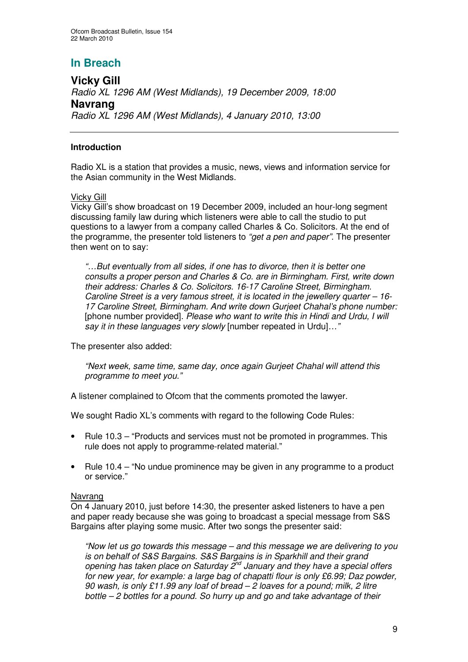## **In Breach**

**Vicky Gill** *Radio XL 1296 AM (West Midlands), 19 December 2009, 18:00* **Navrang** *Radio XL 1296 AM (West Midlands), 4 January 2010, 13:00*

#### **Introduction**

Radio XL is a station that provides a music, news, views and information service for the Asian community in the West Midlands.

#### Vicky Gill

Vicky Gill's show broadcast on 19 December 2009, included an hour-long segment discussing family law during which listeners were able to call the studio to put questions to a lawyer from a company called Charles & Co. Solicitors. At the end of the programme, the presenter told listeners to *"get a pen and paper"*. The presenter then went on to say:

*"…But eventually from all sides, if one has to divorce, then it is better one consults a proper person and Charles & Co. are in Birmingham. First, write down their address: Charles & Co. Solicitors. 16-17 Caroline Street, Birmingham. Caroline Street is a very famous street, it is located in the jewellery quarter – 16- 17 Caroline Street, Birmingham. And write down Gurjeet Chahal's phone number:* [phone number provided]*. Please who want to write this in Hindi and Urdu, I will say it in these languages very slowly* [number repeated in Urdu]*…"*

The presenter also added:

*"Next week, same time, same day, once again Gurjeet Chahal will attend this programme to meet you."*

A listener complained to Ofcom that the comments promoted the lawyer.

We sought Radio XL's comments with regard to the following Code Rules:

- Rule 10.3 "Products and services must not be promoted in programmes. This rule does not apply to programme-related material."
- Rule 10.4 "No undue prominence may be given in any programme to a product or service."

#### Navrang

On 4 January 2010, just before 14:30, the presenter asked listeners to have a pen and paper ready because she was going to broadcast a special message from S&S Bargains after playing some music. After two songs the presenter said:

*"Now let us go towards this message – and this message we are delivering to you is on behalf of S&S Bargains. S&S Bargains is in Sparkhill and their grand opening has taken place on Saturday 2 nd January and they have a special offers for new year, for example: a large bag of chapatti flour is only £6.99; Daz powder, 90 wash, is only £11.99 any loaf of bread – 2 loaves for a pound; milk, 2 litre bottle – 2 bottles for a pound. So hurry up and go and take advantage of their*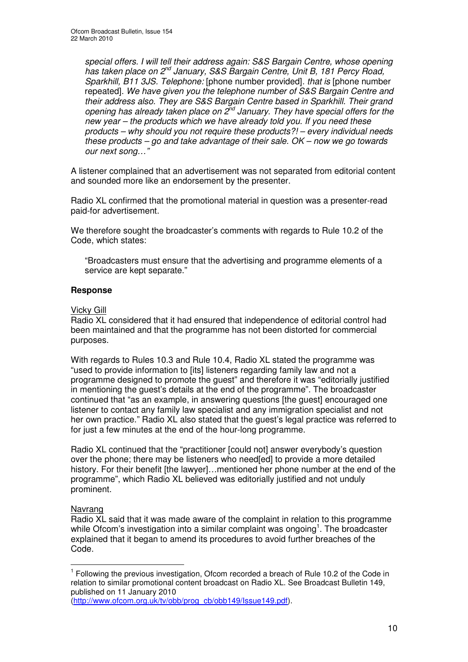*special offers. I will tell their address again: S&S Bargain Centre, whose opening has taken place on 2<sup>nd</sup> January, S&S Bargain Centre, Unit B, 181 Percy Road, Sparkhill, B11 3JS. Telephone:* [phone number provided]*. that is* [phone number repeated]*. We have given you the telephone number of S&S Bargain Centre and their address also. They are S&S Bargain Centre based in Sparkhill. Their grand opening has already taken place on 2 nd January. They have special offers for the new year – the products which we have already told you. If you need these products – why should you not require these products?! – every individual needs these products – go and take advantage of their sale. OK – now we go towards our next song…"*

A listener complained that an advertisement was not separated from editorial content and sounded more like an endorsement by the presenter.

Radio XL confirmed that the promotional material in question was a presenter-read paid-for advertisement.

We therefore sought the broadcaster's comments with regards to Rule 10.2 of the Code, which states:

"Broadcasters must ensure that the advertising and programme elements of a service are kept separate."

#### **Response**

#### Vicky Gill

Radio XL considered that it had ensured that independence of editorial control had been maintained and that the programme has not been distorted for commercial purposes.

With regards to Rules 10.3 and Rule 10.4, Radio XL stated the programme was "used to provide information to [its] listeners regarding family law and not a programme designed to promote the guest" and therefore it was "editorially justified in mentioning the guest's details at the end of the programme". The broadcaster continued that "as an example, in answering questions [the guest] encouraged one listener to contact any family law specialist and any immigration specialist and not her own practice." Radio XL also stated that the guest's legal practice was referred to for just a few minutes at the end of the hour-long programme.

Radio XL continued that the "practitioner [could not] answer everybody's question over the phone; there may be listeners who need[ed] to provide a more detailed history. For their benefit [the lawyer]...mentioned her phone number at the end of the programme", which Radio XL believed was editorially justified and not unduly prominent.

#### Navrang

Radio XL said that it was made aware of the complaint in relation to this programme while Ofcom's investigation into a similar complaint was ongoing<sup>1</sup>. The broadcaster explained that it began to amend its procedures to avoid further breaches of the Code.

(http://www.ofcom.org.uk/tv/obb/prog\_cb/obb149/Issue149.pdf).

<sup>&</sup>lt;sup>1</sup> Following the previous investigation, Ofcom recorded a breach of Rule 10.2 of the Code in relation to similar promotional content broadcast on Radio XL. See Broadcast Bulletin 149, published on 11 January 2010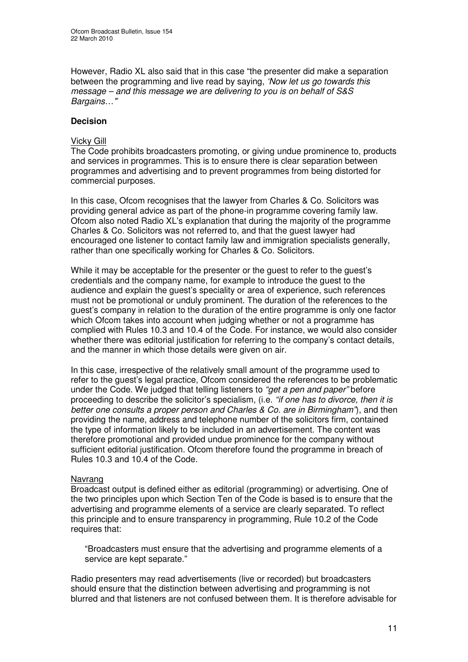However, Radio XL also said that in this case "the presenter did make a separation between the programming and live read by saying, *'Now let us go towards this message – and this message we are delivering to you is on behalf of S&S Bargains…'*"

#### **Decision**

#### Vicky Gill

The Code prohibits broadcasters promoting, or giving undue prominence to, products and services in programmes. This is to ensure there is clear separation between programmes and advertising and to prevent programmes from being distorted for commercial purposes.

In this case, Ofcom recognises that the lawyer from Charles & Co. Solicitors was providing general advice as part of the phone-in programme covering family law. Ofcom also noted Radio XL's explanation that during the majority of the programme Charles & Co. Solicitors was not referred to, and that the guest lawyer had encouraged one listener to contact family law and immigration specialists generally, rather than one specifically working for Charles & Co. Solicitors.

While it may be acceptable for the presenter or the guest to refer to the guest's credentials and the company name, for example to introduce the guest to the audience and explain the guest's speciality or area of experience, such references must not be promotional or unduly prominent. The duration of the references to the guest's company in relation to the duration of the entire programme is only one factor which Ofcom takes into account when judging whether or not a programme has complied with Rules 10.3 and 10.4 of the Code. For instance, we would also consider whether there was editorial justification for referring to the company's contact details, and the manner in which those details were given on air.

In this case, irrespective of the relatively small amount of the programme used to refer to the guest's legal practice, Ofcom considered the references to be problematic under the Code. We judged that telling listeners to *"get a pen and paper"* before proceeding to describe the solicitor's specialism, (i.e. *"if one has to divorce, then it is better one consults a proper person and Charles & Co. are in Birmingham"*), and then providing the name, address and telephone number of the solicitors firm, contained the type of information likely to be included in an advertisement. The content was therefore promotional and provided undue prominence for the company without sufficient editorial justification. Ofcom therefore found the programme in breach of Rules 10.3 and 10.4 of the Code.

#### Navrang

Broadcast output is defined either as editorial (programming) or advertising. One of the two principles upon which Section Ten of the Code is based is to ensure that the advertising and programme elements of a service are clearly separated. To reflect this principle and to ensure transparency in programming, Rule 10.2 of the Code requires that:

"Broadcasters must ensure that the advertising and programme elements of a service are kept separate."

Radio presenters may read advertisements (live or recorded) but broadcasters should ensure that the distinction between advertising and programming is not blurred and that listeners are not confused between them. It is therefore advisable for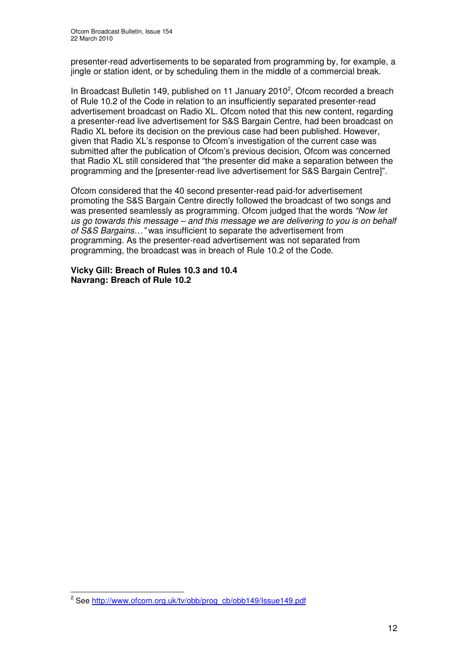presenter-read advertisements to be separated from programming by, for example, a jingle or station ident, or by scheduling them in the middle of a commercial break.

In Broadcast Bulletin 149, published on 11 January 2010<sup>2</sup>, Ofcom recorded a breach of Rule 10.2 of the Code in relation to an insufficiently separated presenter-read advertisement broadcast on Radio XL. Ofcom noted that this new content, regarding a presenter-read live advertisement for S&S Bargain Centre, had been broadcast on Radio XL before its decision on the previous case had been published. However, given that Radio XL's response to Ofcom's investigation of the current case was submitted after the publication of Ofcom's previous decision, Ofcom was concerned that Radio XL still considered that "the presenter did make a separation between the programming and the [presenter-read live advertisement for S&S Bargain Centre]".

Ofcom considered that the 40 second presenter-read paid-for advertisement promoting the S&S Bargain Centre directly followed the broadcast of two songs and was presented seamlessly as programming. Ofcom judged that the words *"Now let us go towards this message – and this message we are delivering to you is on behalf of S&S Bargains…"* was insufficient to separate the advertisement from programming. As the presenter-read advertisement was not separated from programming, the broadcast was in breach of Rule 10.2 of the Code.

**Vicky Gill: Breach of Rules 10.3 and 10.4 Navrang: Breach of Rule 10.2**

<sup>&</sup>lt;sup>2</sup> See <u>http://www.ofcom.org.uk/tv/obb/prog\_cb/obb149/Issue149.pdf</u>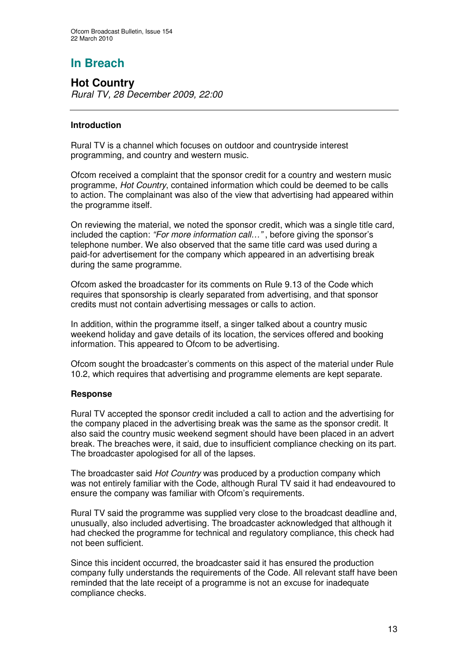# **In Breach**

**Hot Country** *Rural TV, 28 December 2009, 22:00*

#### **Introduction**

Rural TV is a channel which focuses on outdoor and countryside interest programming, and country and western music.

Ofcom received a complaint that the sponsor credit for a country and western music programme, *Hot Country*, contained information which could be deemed to be calls to action. The complainant was also of the view that advertising had appeared within the programme itself.

On reviewing the material, we noted the sponsor credit, which was a single title card, included the caption: *"For more information call…"* , before giving the sponsor's telephone number. We also observed that the same title card was used during a paid-for advertisement for the company which appeared in an advertising break during the same programme.

Ofcom asked the broadcaster for its comments on Rule 9.13 of the Code which requires that sponsorship is clearly separated from advertising, and that sponsor credits must not contain advertising messages or calls to action.

In addition, within the programme itself, a singer talked about a country music weekend holiday and gave details of its location, the services offered and booking information. This appeared to Ofcom to be advertising.

Ofcom sought the broadcaster's comments on this aspect of the material under Rule 10.2, which requires that advertising and programme elements are kept separate.

#### **Response**

Rural TV accepted the sponsor credit included a call to action and the advertising for the company placed in the advertising break was the same as the sponsor credit. It also said the country music weekend segment should have been placed in an advert break. The breaches were, it said, due to insufficient compliance checking on its part. The broadcaster apologised for all of the lapses.

The broadcaster said *Hot Country* was produced by a production company which was not entirely familiar with the Code, although Rural TV said it had endeavoured to ensure the company was familiar with Ofcom's requirements.

Rural TV said the programme was supplied very close to the broadcast deadline and, unusually, also included advertising. The broadcaster acknowledged that although it had checked the programme for technical and regulatory compliance, this check had not been sufficient.

Since this incident occurred, the broadcaster said it has ensured the production company fully understands the requirements of the Code. All relevant staff have been reminded that the late receipt of a programme is not an excuse for inadequate compliance checks.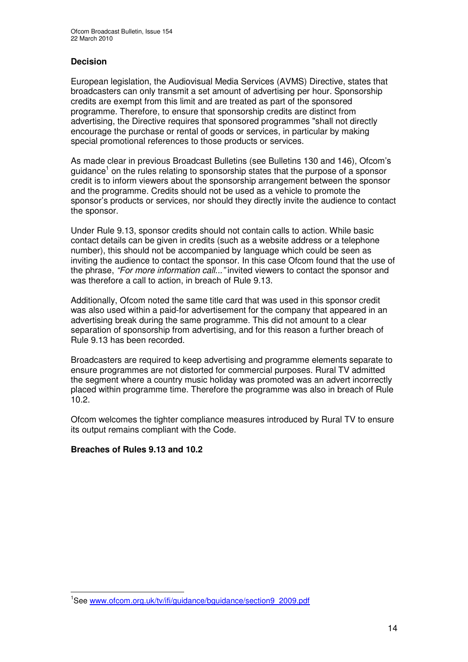#### **Decision**

European legislation, the Audiovisual Media Services (AVMS) Directive, states that broadcasters can only transmit a set amount of advertising per hour. Sponsorship credits are exempt from this limit and are treated as part of the sponsored programme. Therefore, to ensure that sponsorship credits are distinct from advertising, the Directive requires that sponsored programmes "shall not directly encourage the purchase or rental of goods or services, in particular by making special promotional references to those products or services.

As made clear in previous Broadcast Bulletins (see Bulletins 130 and 146), Ofcom's guidance<sup>1</sup> on the rules relating to sponsorship states that the purpose of a sponsor credit is to inform viewers about the sponsorship arrangement between the sponsor and the programme. Credits should not be used as a vehicle to promote the sponsor's products or services, nor should they directly invite the audience to contact the sponsor.

Under Rule 9.13, sponsor credits should not contain calls to action. While basic contact details can be given in credits (such as a website address or a telephone number), this should not be accompanied by language which could be seen as inviting the audience to contact the sponsor. In this case Ofcom found that the use of the phrase, *"For more information call..."* invited viewers to contact the sponsor and was therefore a call to action, in breach of Rule 9.13.

Additionally, Ofcom noted the same title card that was used in this sponsor credit was also used within a paid-for advertisement for the company that appeared in an advertising break during the same programme. This did not amount to a clear separation of sponsorship from advertising, and for this reason a further breach of Rule 9.13 has been recorded.

Broadcasters are required to keep advertising and programme elements separate to ensure programmes are not distorted for commercial purposes. Rural TV admitted the segment where a country music holiday was promoted was an advert incorrectly placed within programme time. Therefore the programme was also in breach of Rule 10.2.

Ofcom welcomes the tighter compliance measures introduced by Rural TV to ensure its output remains compliant with the Code.

#### **Breaches of Rules 9.13 and 10.2**

<sup>&</sup>lt;sup>1</sup>See www.ofcom.org.uk/tv/ifi/guidance/bguidance/section9\_2009.pdf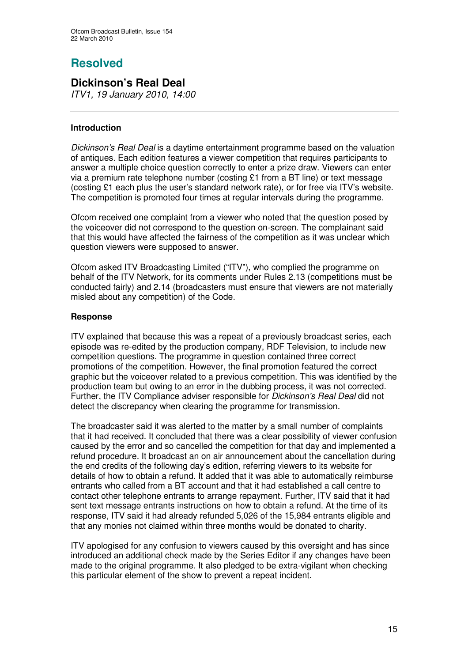# **Resolved**

## **Dickinson's Real Deal**

*ITV1, 19 January 2010, 14:00*

#### **Introduction**

*Dickinson's Real Deal* is a daytime entertainment programme based on the valuation of antiques. Each edition features a viewer competition that requires participants to answer a multiple choice question correctly to enter a prize draw. Viewers can enter via a premium rate telephone number (costing £1 from a BT line) or text message (costing £1 each plus the user's standard network rate), or for free via ITV's website. The competition is promoted four times at regular intervals during the programme.

Ofcom received one complaint from a viewer who noted that the question posed by the voiceover did not correspond to the question on-screen. The complainant said that this would have affected the fairness of the competition as it was unclear which question viewers were supposed to answer.

Ofcom asked ITV Broadcasting Limited ("ITV"), who complied the programme on behalf of the ITV Network, for its comments under Rules 2.13 (competitions must be conducted fairly) and 2.14 (broadcasters must ensure that viewers are not materially misled about any competition) of the Code.

#### **Response**

ITV explained that because this was a repeat of a previously broadcast series, each episode was re-edited by the production company, RDF Television, to include new competition questions. The programme in question contained three correct promotions of the competition. However, the final promotion featured the correct graphic but the voiceover related to a previous competition. This was identified by the production team but owing to an error in the dubbing process, it was not corrected. Further, the ITV Compliance adviser responsible for *Dickinson's Real Deal* did not detect the discrepancy when clearing the programme for transmission.

The broadcaster said it was alerted to the matter by a small number of complaints that it had received. It concluded that there was a clear possibility of viewer confusion caused by the error and so cancelled the competition for that day and implemented a refund procedure. It broadcast an on air announcement about the cancellation during the end credits of the following day's edition, referring viewers to its website for details of how to obtain a refund. It added that it was able to automatically reimburse entrants who called from a BT account and that it had established a call centre to contact other telephone entrants to arrange repayment. Further, ITV said that it had sent text message entrants instructions on how to obtain a refund. At the time of its response, ITV said it had already refunded 5,026 of the 15,984 entrants eligible and that any monies not claimed within three months would be donated to charity.

ITV apologised for any confusion to viewers caused by this oversight and has since introduced an additional check made by the Series Editor if any changes have been made to the original programme. It also pledged to be extra-vigilant when checking this particular element of the show to prevent a repeat incident.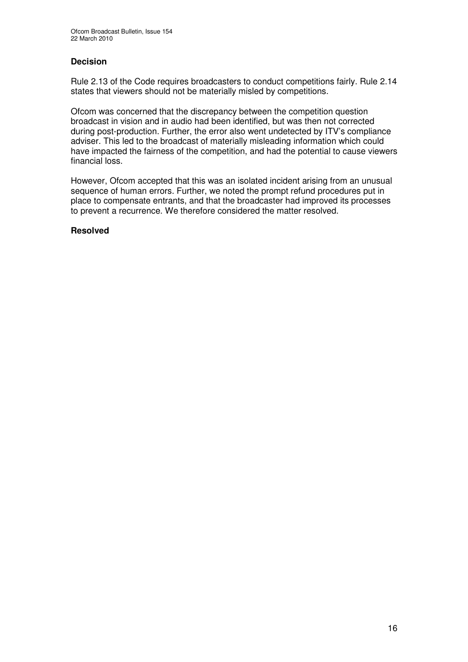#### **Decision**

Rule 2.13 of the Code requires broadcasters to conduct competitions fairly. Rule 2.14 states that viewers should not be materially misled by competitions.

Ofcom was concerned that the discrepancy between the competition question broadcast in vision and in audio had been identified, but was then not corrected during post-production. Further, the error also went undetected by ITV's compliance adviser. This led to the broadcast of materially misleading information which could have impacted the fairness of the competition, and had the potential to cause viewers financial loss.

However, Ofcom accepted that this was an isolated incident arising from an unusual sequence of human errors. Further, we noted the prompt refund procedures put in place to compensate entrants, and that the broadcaster had improved its processes to prevent a recurrence. We therefore considered the matter resolved.

#### **Resolved**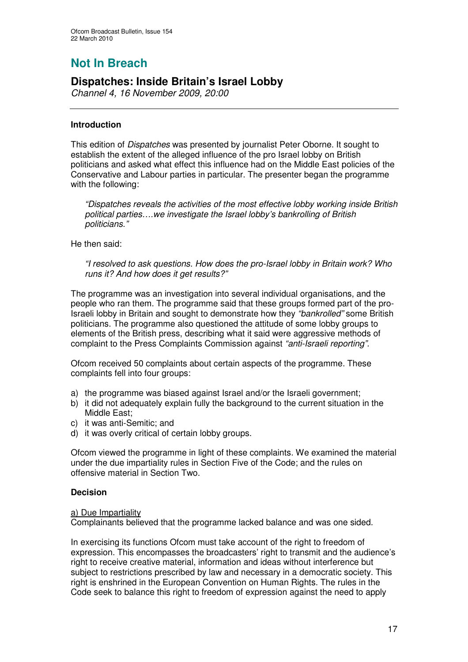# **Not In Breach**

## **Dispatches: Inside Britain's Israel Lobby**

*Channel 4, 16 November 2009, 20:00*

#### **Introduction**

This edition of *Dispatches* was presented by journalist Peter Oborne. It sought to establish the extent of the alleged influence of the pro Israel lobby on British politicians and asked what effect this influence had on the Middle East policies of the Conservative and Labour parties in particular. The presenter began the programme with the following:

*"Dispatches reveals the activities of the most effective lobby working inside British political parties….we investigate the Israel lobby's bankrolling of British politicians."*

He then said:

*"I resolved to ask questions. How does the pro-Israel lobby in Britain work? Who runs it? And how does it get results?"*

The programme was an investigation into several individual organisations, and the people who ran them. The programme said that these groups formed part of the pro-Israeli lobby in Britain and sought to demonstrate how they *"bankrolled"* some British politicians. The programme also questioned the attitude of some lobby groups to elements of the British press, describing what it said were aggressive methods of complaint to the Press Complaints Commission against *"anti-Israeli reporting".*

Ofcom received 50 complaints about certain aspects of the programme. These complaints fell into four groups:

- a) the programme was biased against Israel and/or the Israeli government;
- b) it did not adequately explain fully the background to the current situation in the Middle East;
- c) it was anti-Semitic; and
- d) it was overly critical of certain lobby groups.

Ofcom viewed the programme in light of these complaints. We examined the material under the due impartiality rules in Section Five of the Code; and the rules on offensive material in Section Two.

#### **Decision**

#### a) Due Impartiality

Complainants believed that the programme lacked balance and was one sided.

In exercising its functions Ofcom must take account of the right to freedom of expression. This encompasses the broadcasters' right to transmit and the audience's right to receive creative material, information and ideas without interference but subject to restrictions prescribed by law and necessary in a democratic society. This right is enshrined in the European Convention on Human Rights. The rules in the Code seek to balance this right to freedom of expression against the need to apply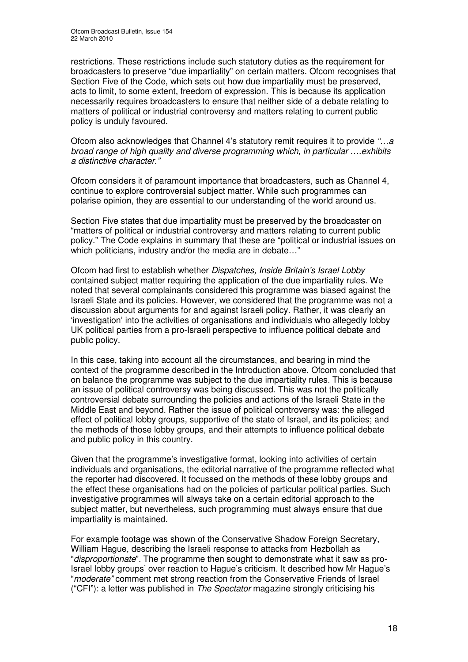restrictions. These restrictions include such statutory duties as the requirement for broadcasters to preserve "due impartiality" on certain matters. Ofcom recognises that Section Five of the Code, which sets out how due impartiality must be preserved, acts to limit, to some extent, freedom of expression. This is because its application necessarily requires broadcasters to ensure that neither side of a debate relating to matters of political or industrial controversy and matters relating to current public policy is unduly favoured.

Ofcom also acknowledges that Channel 4's statutory remit requires it to provide *"…a broad range of high quality and diverse programming which, in particular ….exhibits a distinctive character."*

Ofcom considers it of paramount importance that broadcasters, such as Channel 4, continue to explore controversial subject matter. While such programmes can polarise opinion, they are essential to our understanding of the world around us.

Section Five states that due impartiality must be preserved by the broadcaster on "matters of political or industrial controversy and matters relating to current public policy." The Code explains in summary that these are "political or industrial issues on which politicians, industry and/or the media are in debate..."

Ofcom had first to establish whether *Dispatches, Inside Britain's Israel Lobby* contained subject matter requiring the application of the due impartiality rules. We noted that several complainants considered this programme was biased against the Israeli State and its policies. However, we considered that the programme was not a discussion about arguments for and against Israeli policy. Rather, it was clearly an 'investigation' into the activities of organisations and individuals who allegedly lobby UK political parties from a pro-Israeli perspective to influence political debate and public policy.

In this case, taking into account all the circumstances, and bearing in mind the context of the programme described in the Introduction above, Ofcom concluded that on balance the programme was subject to the due impartiality rules. This is because an issue of political controversy was being discussed. This was not the politically controversial debate surrounding the policies and actions of the Israeli State in the Middle East and beyond. Rather the issue of political controversy was: the alleged effect of political lobby groups, supportive of the state of Israel, and its policies; and the methods of those lobby groups, and their attempts to influence political debate and public policy in this country.

Given that the programme's investigative format, looking into activities of certain individuals and organisations, the editorial narrative of the programme reflected what the reporter had discovered. It focussed on the methods of these lobby groups and the effect these organisations had on the policies of particular political parties. Such investigative programmes will always take on a certain editorial approach to the subject matter, but nevertheless, such programming must always ensure that due impartiality is maintained.

For example footage was shown of the Conservative Shadow Foreign Secretary, William Hague, describing the Israeli response to attacks from Hezbollah as "*disproportionate*". The programme then sought to demonstrate what it saw as pro-Israel lobby groups' over reaction to Hague's criticism. It described how Mr Hague's "*moderate"* comment met strong reaction from the Conservative Friends of Israel ("CFI"): a letter was published in *The Spectator* magazine strongly criticising his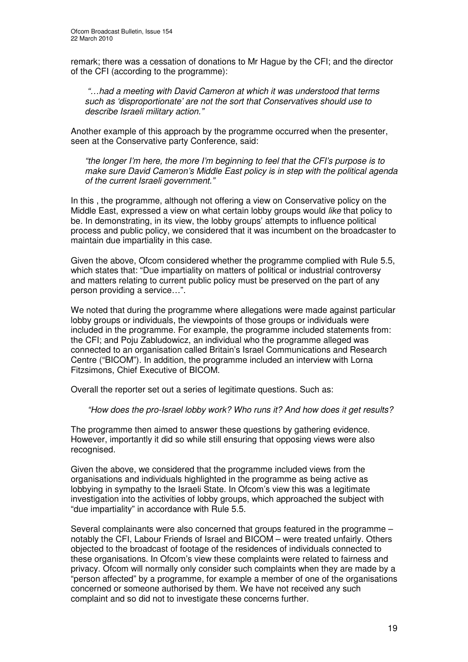remark; there was a cessation of donations to Mr Hague by the CFI; and the director of the CFI (according to the programme):

*"…had a meeting with David Cameron at which it was understood that terms such as 'disproportionate' are not the sort that Conservatives should use to describe Israeli military action."*

Another example of this approach by the programme occurred when the presenter, seen at the Conservative party Conference, said:

*"the longer I'm here, the more I'm beginning to feel that the CFI's purpose is to make sure David Cameron's Middle East policy is in step with the political agenda of the current Israeli government."*

In this , the programme, although not offering a view on Conservative policy on the Middle East, expressed a view on what certain lobby groups would *like* that policy to be. In demonstrating, in its view, the lobby groups' attempts to influence political process and public policy, we considered that it was incumbent on the broadcaster to maintain due impartiality in this case.

Given the above, Ofcom considered whether the programme complied with Rule 5.5, which states that: "Due impartiality on matters of political or industrial controversy and matters relating to current public policy must be preserved on the part of any person providing a service…".

We noted that during the programme where allegations were made against particular lobby groups or individuals, the viewpoints of those groups or individuals were included in the programme. For example, the programme included statements from: the CFI; and Poju Zabludowicz, an individual who the programme alleged was connected to an organisation called Britain's Israel Communications and Research Centre ("BICOM"). In addition, the programme included an interview with Lorna Fitzsimons, Chief Executive of BICOM.

Overall the reporter set out a series of legitimate questions. Such as:

#### *"How does the pro-Israel lobby work? Who runs it? And how does it get results?*

The programme then aimed to answer these questions by gathering evidence. However, importantly it did so while still ensuring that opposing views were also recognised.

Given the above, we considered that the programme included views from the organisations and individuals highlighted in the programme as being active as lobbying in sympathy to the Israeli State. In Ofcom's view this was a legitimate investigation into the activities of lobby groups, which approached the subject with "due impartiality" in accordance with Rule 5.5.

Several complainants were also concerned that groups featured in the programme – notably the CFI, Labour Friends of Israel and BICOM – were treated unfairly. Others objected to the broadcast of footage of the residences of individuals connected to these organisations. In Ofcom's view these complaints were related to fairness and privacy. Ofcom will normally only consider such complaints when they are made by a "person affected" by a programme, for example a member of one of the organisations concerned or someone authorised by them. We have not received any such complaint and so did not to investigate these concerns further.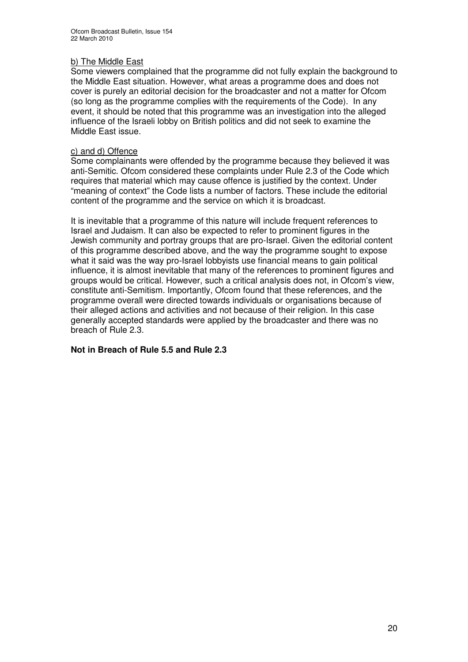#### b) The Middle East

Some viewers complained that the programme did not fully explain the background to the Middle East situation. However, what areas a programme does and does not cover is purely an editorial decision for the broadcaster and not a matter for Ofcom (so long as the programme complies with the requirements of the Code). In any event, it should be noted that this programme was an investigation into the alleged influence of the Israeli lobby on British politics and did not seek to examine the Middle East issue.

#### c) and d) Offence

Some complainants were offended by the programme because they believed it was anti-Semitic. Ofcom considered these complaints under Rule 2.3 of the Code which requires that material which may cause offence is justified by the context. Under "meaning of context" the Code lists a number of factors. These include the editorial content of the programme and the service on which it is broadcast.

It is inevitable that a programme of this nature will include frequent references to Israel and Judaism. It can also be expected to refer to prominent figures in the Jewish community and portray groups that are pro-Israel. Given the editorial content of this programme described above, and the way the programme sought to expose what it said was the way pro-Israel lobbyists use financial means to gain political influence, it is almost inevitable that many of the references to prominent figures and groups would be critical. However, such a critical analysis does not, in Ofcom's view, constitute anti-Semitism. Importantly, Ofcom found that these references, and the programme overall were directed towards individuals or organisations because of their alleged actions and activities and not because of their religion. In this case generally accepted standards were applied by the broadcaster and there was no breach of Rule 2.3.

#### **Not in Breach of Rule 5.5 and Rule 2.3**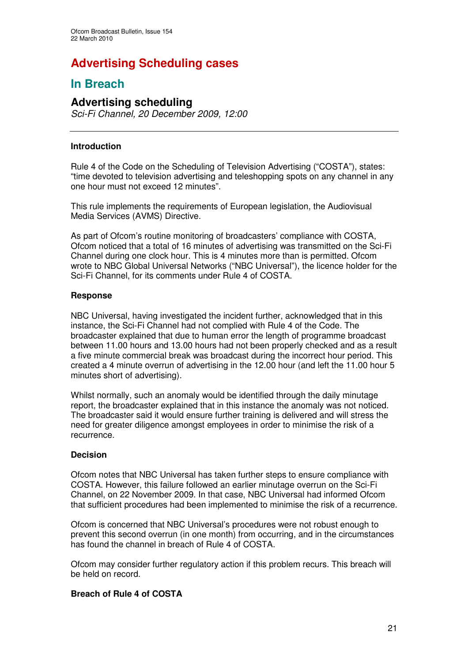# **Advertising Scheduling cases**

## **In Breach**

## **Advertising scheduling**

*Sci-Fi Channel, 20 December 2009, 12:00*

#### **Introduction**

Rule 4 of the Code on the Scheduling of Television Advertising ("COSTA"), states: "time devoted to television advertising and teleshopping spots on any channel in any one hour must not exceed 12 minutes".

This rule implements the requirements of European legislation, the Audiovisual Media Services (AVMS) Directive.

As part of Ofcom's routine monitoring of broadcasters' compliance with COSTA, Ofcom noticed that a total of 16 minutes of advertising was transmitted on the Sci-Fi Channel during one clock hour. This is 4 minutes more than is permitted. Ofcom wrote to NBC Global Universal Networks ("NBC Universal"), the licence holder for the Sci-Fi Channel, for its comments under Rule 4 of COSTA.

#### **Response**

NBC Universal, having investigated the incident further, acknowledged that in this instance, the Sci-Fi Channel had not complied with Rule 4 of the Code. The broadcaster explained that due to human error the length of programme broadcast between 11.00 hours and 13.00 hours had not been properly checked and as a result a five minute commercial break was broadcast during the incorrect hour period. This created a 4 minute overrun of advertising in the 12.00 hour (and left the 11.00 hour 5 minutes short of advertising).

Whilst normally, such an anomaly would be identified through the daily minutage report, the broadcaster explained that in this instance the anomaly was not noticed. The broadcaster said it would ensure further training is delivered and will stress the need for greater diligence amongst employees in order to minimise the risk of a recurrence.

#### **Decision**

Ofcom notes that NBC Universal has taken further steps to ensure compliance with COSTA. However, this failure followed an earlier minutage overrun on the Sci-Fi Channel, on 22 November 2009. In that case, NBC Universal had informed Ofcom that sufficient procedures had been implemented to minimise the risk of a recurrence.

Ofcom is concerned that NBC Universal's procedures were not robust enough to prevent this second overrun (in one month) from occurring, and in the circumstances has found the channel in breach of Rule 4 of COSTA.

Ofcom may consider further regulatory action if this problem recurs. This breach will be held on record.

#### **Breach of Rule 4 of COSTA**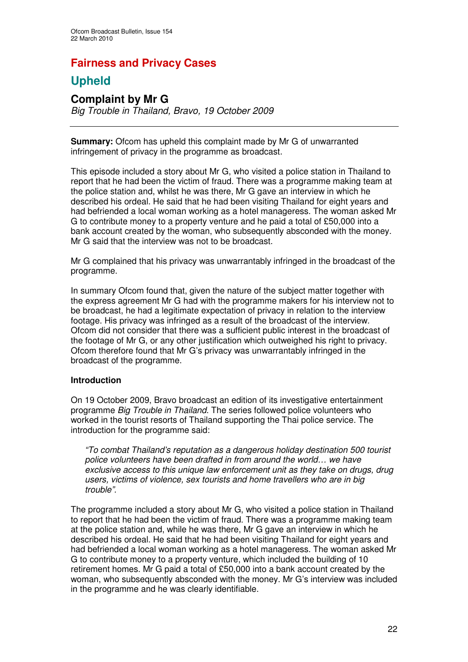# **Fairness and Privacy Cases**

## **Upheld**

## **Complaint by Mr G**

*Big Trouble in Thailand, Bravo, 19 October 2009*

**Summary:** Ofcom has upheld this complaint made by Mr G of unwarranted infringement of privacy in the programme as broadcast.

This episode included a story about Mr G, who visited a police station in Thailand to report that he had been the victim of fraud. There was a programme making team at the police station and, whilst he was there, Mr G gave an interview in which he described his ordeal. He said that he had been visiting Thailand for eight years and had befriended a local woman working as a hotel manageress. The woman asked Mr G to contribute money to a property venture and he paid a total of £50,000 into a bank account created by the woman, who subsequently absconded with the money. Mr G said that the interview was not to be broadcast.

Mr G complained that his privacy was unwarrantably infringed in the broadcast of the programme.

In summary Ofcom found that, given the nature of the subject matter together with the express agreement Mr G had with the programme makers for his interview not to be broadcast, he had a legitimate expectation of privacy in relation to the interview footage. His privacy was infringed as a result of the broadcast of the interview. Ofcom did not consider that there was a sufficient public interest in the broadcast of the footage of Mr G, or any other justification which outweighed his right to privacy. Ofcom therefore found that Mr G's privacy was unwarrantably infringed in the broadcast of the programme.

#### **Introduction**

On 19 October 2009, Bravo broadcast an edition of its investigative entertainment programme *Big Trouble in Thailand*. The series followed police volunteers who worked in the tourist resorts of Thailand supporting the Thai police service. The introduction for the programme said:

*"To combat Thailand's reputation as a dangerous holiday destination 500 tourist police volunteers have been drafted in from around the world… we have exclusive access to this unique law enforcement unit as they take on drugs, drug users, victims of violence, sex tourists and home travellers who are in big trouble".*

The programme included a story about Mr G, who visited a police station in Thailand to report that he had been the victim of fraud. There was a programme making team at the police station and, while he was there, Mr G gave an interview in which he described his ordeal. He said that he had been visiting Thailand for eight years and had befriended a local woman working as a hotel manageress. The woman asked Mr G to contribute money to a property venture, which included the building of 10 retirement homes. Mr G paid a total of £50,000 into a bank account created by the woman, who subsequently absconded with the money. Mr G's interview was included in the programme and he was clearly identifiable.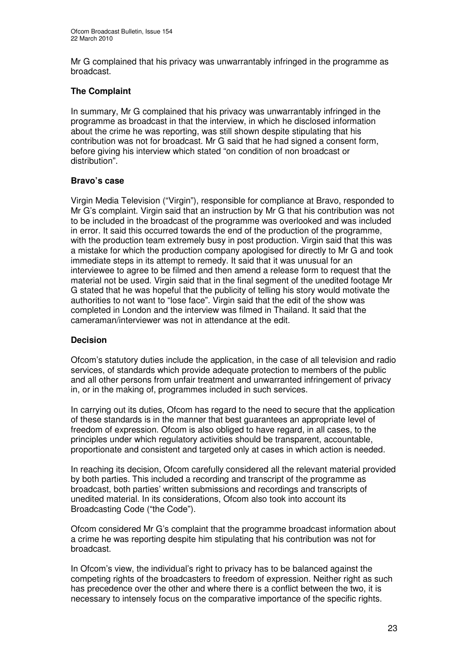Mr G complained that his privacy was unwarrantably infringed in the programme as broadcast.

#### **The Complaint**

In summary, Mr G complained that his privacy was unwarrantably infringed in the programme as broadcast in that the interview, in which he disclosed information about the crime he was reporting, was still shown despite stipulating that his contribution was not for broadcast. Mr G said that he had signed a consent form, before giving his interview which stated "on condition of non broadcast or distribution".

#### **Bravo's case**

Virgin Media Television ("Virgin"), responsible for compliance at Bravo, responded to Mr G's complaint. Virgin said that an instruction by Mr G that his contribution was not to be included in the broadcast of the programme was overlooked and was included in error. It said this occurred towards the end of the production of the programme, with the production team extremely busy in post production. Virgin said that this was a mistake for which the production company apologised for directly to Mr G and took immediate steps in its attempt to remedy. It said that it was unusual for an interviewee to agree to be filmed and then amend a release form to request that the material not be used. Virgin said that in the final segment of the unedited footage Mr G stated that he was hopeful that the publicity of telling his story would motivate the authorities to not want to "lose face". Virgin said that the edit of the show was completed in London and the interview was filmed in Thailand. It said that the cameraman/interviewer was not in attendance at the edit.

#### **Decision**

Ofcom's statutory duties include the application, in the case of all television and radio services, of standards which provide adequate protection to members of the public and all other persons from unfair treatment and unwarranted infringement of privacy in, or in the making of, programmes included in such services.

In carrying out its duties, Ofcom has regard to the need to secure that the application of these standards is in the manner that best guarantees an appropriate level of freedom of expression. Ofcom is also obliged to have regard, in all cases, to the principles under which regulatory activities should be transparent, accountable, proportionate and consistent and targeted only at cases in which action is needed.

In reaching its decision, Ofcom carefully considered all the relevant material provided by both parties. This included a recording and transcript of the programme as broadcast, both parties' written submissions and recordings and transcripts of unedited material. In its considerations, Ofcom also took into account its Broadcasting Code ("the Code").

Ofcom considered Mr G's complaint that the programme broadcast information about a crime he was reporting despite him stipulating that his contribution was not for broadcast.

In Ofcom's view, the individual's right to privacy has to be balanced against the competing rights of the broadcasters to freedom of expression. Neither right as such has precedence over the other and where there is a conflict between the two, it is necessary to intensely focus on the comparative importance of the specific rights.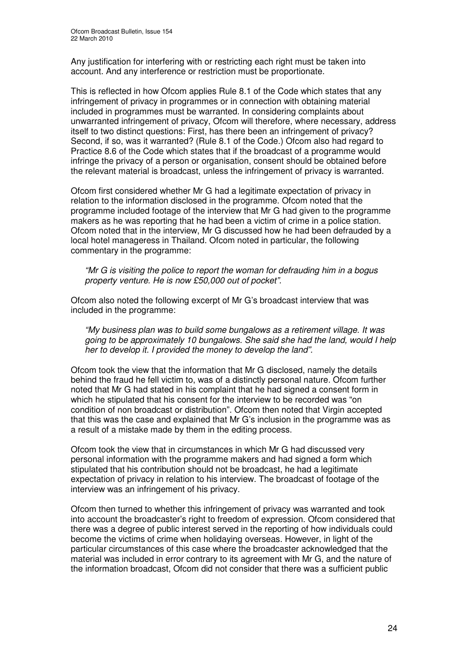Any justification for interfering with or restricting each right must be taken into account. And any interference or restriction must be proportionate.

This is reflected in how Ofcom applies Rule 8.1 of the Code which states that any infringement of privacy in programmes or in connection with obtaining material included in programmes must be warranted. In considering complaints about unwarranted infringement of privacy, Ofcom will therefore, where necessary, address itself to two distinct questions: First, has there been an infringement of privacy? Second, if so, was it warranted? (Rule 8.1 of the Code.) Ofcom also had regard to Practice 8.6 of the Code which states that if the broadcast of a programme would infringe the privacy of a person or organisation, consent should be obtained before the relevant material is broadcast, unless the infringement of privacy is warranted.

Ofcom first considered whether Mr G had a legitimate expectation of privacy in relation to the information disclosed in the programme. Ofcom noted that the programme included footage of the interview that Mr G had given to the programme makers as he was reporting that he had been a victim of crime in a police station. Ofcom noted that in the interview, Mr G discussed how he had been defrauded by a local hotel manageress in Thailand. Ofcom noted in particular, the following commentary in the programme:

*"Mr G is visiting the police to report the woman for defrauding him in a bogus property venture. He is now £50,000 out of pocket".*

Ofcom also noted the following excerpt of Mr G's broadcast interview that was included in the programme:

*"My business plan was to build some bungalows as a retirement village. It was going to be approximately 10 bungalows. She said she had the land, would I help her to develop it. I provided the money to develop the land".*

Ofcom took the view that the information that Mr G disclosed, namely the details behind the fraud he fell victim to, was of a distinctly personal nature. Ofcom further noted that Mr G had stated in his complaint that he had signed a consent form in which he stipulated that his consent for the interview to be recorded was "on condition of non broadcast or distribution". Ofcom then noted that Virgin accepted that this was the case and explained that Mr G's inclusion in the programme was as a result of a mistake made by them in the editing process.

Ofcom took the view that in circumstances in which Mr G had discussed very personal information with the programme makers and had signed a form which stipulated that his contribution should not be broadcast, he had a legitimate expectation of privacy in relation to his interview. The broadcast of footage of the interview was an infringement of his privacy.

Ofcom then turned to whether this infringement of privacy was warranted and took into account the broadcaster's right to freedom of expression. Ofcom considered that there was a degree of public interest served in the reporting of how individuals could become the victims of crime when holidaying overseas. However, in light of the particular circumstances of this case where the broadcaster acknowledged that the material was included in error contrary to its agreement with Mr G, and the nature of the information broadcast, Ofcom did not consider that there was a sufficient public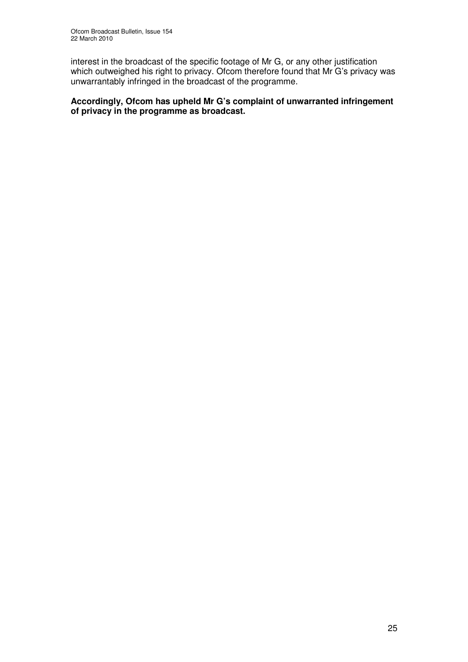interest in the broadcast of the specific footage of Mr G, or any other justification which outweighed his right to privacy. Ofcom therefore found that Mr G's privacy was unwarrantably infringed in the broadcast of the programme.

#### **Accordingly, Ofcom has upheld Mr G's complaint of unwarranted infringement of privacy in the programme as broadcast.**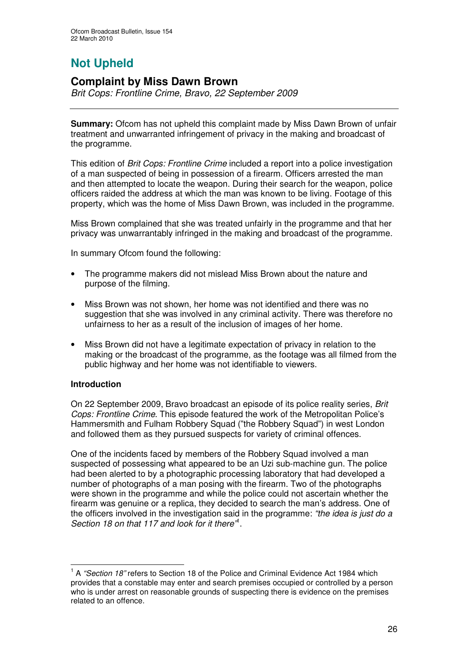# **Not Upheld**

### **Complaint by Miss Dawn Brown**

*Brit Cops: Frontline Crime, Bravo, 22 September 2009*

**Summary:** Ofcom has not upheld this complaint made by Miss Dawn Brown of unfair treatment and unwarranted infringement of privacy in the making and broadcast of the programme.

This edition of *Brit Cops: Frontline Crime* included a report into a police investigation of a man suspected of being in possession of a firearm. Officers arrested the man and then attempted to locate the weapon. During their search for the weapon, police officers raided the address at which the man was known to be living. Footage of this property, which was the home of Miss Dawn Brown, was included in the programme.

Miss Brown complained that she was treated unfairly in the programme and that her privacy was unwarrantably infringed in the making and broadcast of the programme.

In summary Ofcom found the following:

- The programme makers did not mislead Miss Brown about the nature and purpose of the filming.
- Miss Brown was not shown, her home was not identified and there was no suggestion that she was involved in any criminal activity. There was therefore no unfairness to her as a result of the inclusion of images of her home.
- Miss Brown did not have a legitimate expectation of privacy in relation to the making or the broadcast of the programme, as the footage was all filmed from the public highway and her home was not identifiable to viewers.

#### **Introduction**

On 22 September 2009, Bravo broadcast an episode of its police reality series, *Brit Cops: Frontline Crime*. This episode featured the work of the Metropolitan Police's Hammersmith and Fulham Robbery Squad ("the Robbery Squad") in west London and followed them as they pursued suspects for variety of criminal offences.

One of the incidents faced by members of the Robbery Squad involved a man suspected of possessing what appeared to be an Uzi sub-machine gun. The police had been alerted to by a photographic processing laboratory that had developed a number of photographs of a man posing with the firearm. Two of the photographs were shown in the programme and while the police could not ascertain whether the firearm was genuine or a replica, they decided to search the man's address. One of the officers involved in the investigation said in the programme: *"the idea is just do a Section 18 on that 117 and look for it there"* 1 .

<sup>&</sup>lt;sup>1</sup> A "Section 18" refers to Section 18 of the Police and Criminal Evidence Act 1984 which provides that a constable may enter and search premises occupied or controlled by a person who is under arrest on reasonable grounds of suspecting there is evidence on the premises related to an offence.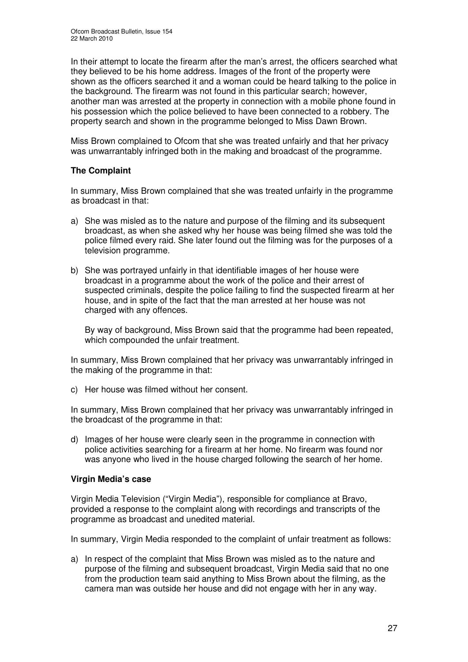In their attempt to locate the firearm after the man's arrest, the officers searched what they believed to be his home address. Images of the front of the property were shown as the officers searched it and a woman could be heard talking to the police in the background. The firearm was not found in this particular search; however, another man was arrested at the property in connection with a mobile phone found in his possession which the police believed to have been connected to a robbery. The property search and shown in the programme belonged to Miss Dawn Brown.

Miss Brown complained to Ofcom that she was treated unfairly and that her privacy was unwarrantably infringed both in the making and broadcast of the programme.

#### **The Complaint**

In summary, Miss Brown complained that she was treated unfairly in the programme as broadcast in that:

- a) She was misled as to the nature and purpose of the filming and its subsequent broadcast, as when she asked why her house was being filmed she was told the police filmed every raid. She later found out the filming was for the purposes of a television programme.
- b) She was portrayed unfairly in that identifiable images of her house were broadcast in a programme about the work of the police and their arrest of suspected criminals, despite the police failing to find the suspected firearm at her house, and in spite of the fact that the man arrested at her house was not charged with any offences.

By way of background, Miss Brown said that the programme had been repeated, which compounded the unfair treatment.

In summary, Miss Brown complained that her privacy was unwarrantably infringed in the making of the programme in that:

c) Her house was filmed without her consent.

In summary, Miss Brown complained that her privacy was unwarrantably infringed in the broadcast of the programme in that:

d) Images of her house were clearly seen in the programme in connection with police activities searching for a firearm at her home. No firearm was found nor was anyone who lived in the house charged following the search of her home.

#### **Virgin Media's case**

Virgin Media Television ("Virgin Media"), responsible for compliance at Bravo, provided a response to the complaint along with recordings and transcripts of the programme as broadcast and unedited material.

In summary, Virgin Media responded to the complaint of unfair treatment as follows:

a) In respect of the complaint that Miss Brown was misled as to the nature and purpose of the filming and subsequent broadcast, Virgin Media said that no one from the production team said anything to Miss Brown about the filming, as the camera man was outside her house and did not engage with her in any way.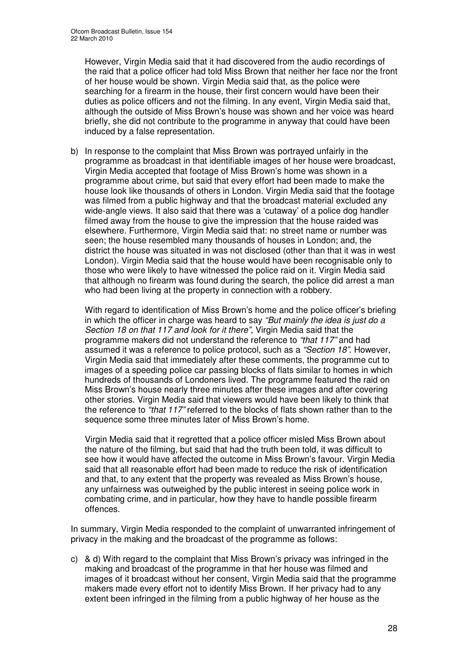However, Virgin Media said that it had discovered from the audio recordings of the raid that a police officer had told Miss Brown that neither her face nor the front of her house would be shown. Virgin Media said that, as the police were searching for a firearm in the house, their first concern would have been their duties as police officers and not the filming. In any event, Virgin Media said that, although the outside of Miss Brown's house was shown and her voice was heard briefly, she did not contribute to the programme in anyway that could have been induced by a false representation.

b) In response to the complaint that Miss Brown was portrayed unfairly in the programme as broadcast in that identifiable images of her house were broadcast, Virgin Media accepted that footage of Miss Brown's home was shown in a programme about crime, but said that every effort had been made to make the house look like thousands of others in London. Virgin Media said that the footage was filmed from a public highway and that the broadcast material excluded any wide-angle views. It also said that there was a 'cutaway' of a police dog handler filmed away from the house to give the impression that the house raided was elsewhere. Furthermore, Virgin Media said that: no street name or number was seen; the house resembled many thousands of houses in London; and, the district the house was situated in was not disclosed (other than that it was in west London). Virgin Media said that the house would have been recognisable only to those who were likely to have witnessed the police raid on it. Virgin Media said that although no firearm was found during the search, the police did arrest a man who had been living at the property in connection with a robbery.

With regard to identification of Miss Brown's home and the police officer's briefing in which the officer in charge was heard to say *"But mainly the idea is just do a Section 18 on that 117 and look for it there"*, Virgin Media said that the programme makers did not understand the reference to *"that 117"* and had assumed it was a reference to police protocol, such as a *"Section 18"*. However, Virgin Media said that immediately after these comments, the programme cut to images of a speeding police car passing blocks of flats similar to homes in which hundreds of thousands of Londoners lived. The programme featured the raid on Miss Brown's house nearly three minutes after these images and after covering other stories. Virgin Media said that viewers would have been likely to think that the reference to *"that 117"* referred to the blocks of flats shown rather than to the sequence some three minutes later of Miss Brown's home.

Virgin Media said that it regretted that a police officer misled Miss Brown about the nature of the filming, but said that had the truth been told, it was difficult to see how it would have affected the outcome in Miss Brown's favour. Virgin Media said that all reasonable effort had been made to reduce the risk of identification and that, to any extent that the property was revealed as Miss Brown's house, any unfairness was outweighed by the public interest in seeing police work in combating crime, and in particular, how they have to handle possible firearm offences.

In summary, Virgin Media responded to the complaint of unwarranted infringement of privacy in the making and the broadcast of the programme as follows:

c) & d) With regard to the complaint that Miss Brown's privacy was infringed in the making and broadcast of the programme in that her house was filmed and images of it broadcast without her consent, Virgin Media said that the programme makers made every effort not to identify Miss Brown. If her privacy had to any extent been infringed in the filming from a public highway of her house as the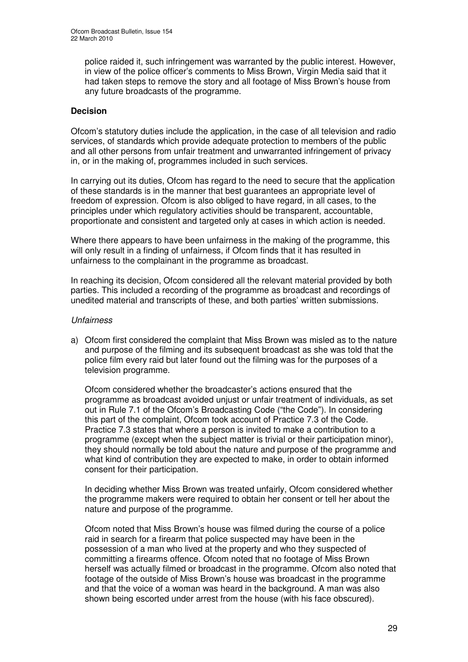police raided it, such infringement was warranted by the public interest. However, in view of the police officer's comments to Miss Brown, Virgin Media said that it had taken steps to remove the story and all footage of Miss Brown's house from any future broadcasts of the programme.

#### **Decision**

Ofcom's statutory duties include the application, in the case of all television and radio services, of standards which provide adequate protection to members of the public and all other persons from unfair treatment and unwarranted infringement of privacy in, or in the making of, programmes included in such services.

In carrying out its duties, Ofcom has regard to the need to secure that the application of these standards is in the manner that best guarantees an appropriate level of freedom of expression. Ofcom is also obliged to have regard, in all cases, to the principles under which regulatory activities should be transparent, accountable, proportionate and consistent and targeted only at cases in which action is needed.

Where there appears to have been unfairness in the making of the programme, this will only result in a finding of unfairness, if Ofcom finds that it has resulted in unfairness to the complainant in the programme as broadcast.

In reaching its decision, Ofcom considered all the relevant material provided by both parties. This included a recording of the programme as broadcast and recordings of unedited material and transcripts of these, and both parties' written submissions.

#### *Unfairness*

a) Ofcom first considered the complaint that Miss Brown was misled as to the nature and purpose of the filming and its subsequent broadcast as she was told that the police film every raid but later found out the filming was for the purposes of a television programme.

Ofcom considered whether the broadcaster's actions ensured that the programme as broadcast avoided unjust or unfair treatment of individuals, as set out in Rule 7.1 of the Ofcom's Broadcasting Code ("the Code"). In considering this part of the complaint, Ofcom took account of Practice 7.3 of the Code. Practice 7.3 states that where a person is invited to make a contribution to a programme (except when the subject matter is trivial or their participation minor), they should normally be told about the nature and purpose of the programme and what kind of contribution they are expected to make, in order to obtain informed consent for their participation.

In deciding whether Miss Brown was treated unfairly, Ofcom considered whether the programme makers were required to obtain her consent or tell her about the nature and purpose of the programme.

Ofcom noted that Miss Brown's house was filmed during the course of a police raid in search for a firearm that police suspected may have been in the possession of a man who lived at the property and who they suspected of committing a firearms offence. Ofcom noted that no footage of Miss Brown herself was actually filmed or broadcast in the programme. Ofcom also noted that footage of the outside of Miss Brown's house was broadcast in the programme and that the voice of a woman was heard in the background. A man was also shown being escorted under arrest from the house (with his face obscured).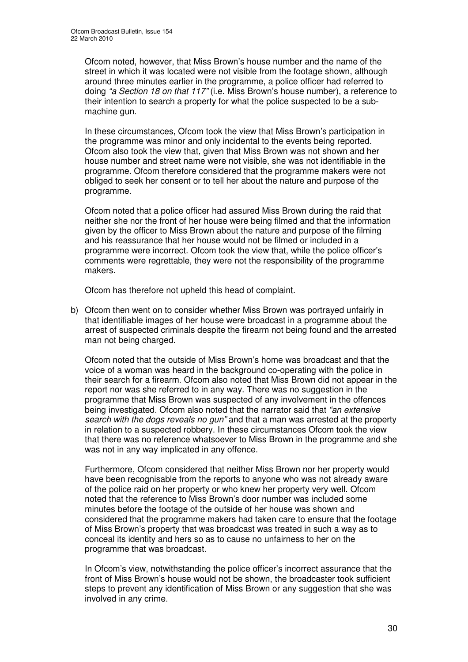Ofcom noted, however, that Miss Brown's house number and the name of the street in which it was located were not visible from the footage shown, although around three minutes earlier in the programme, a police officer had referred to doing *"a Section 18 on that 117"* (i.e. Miss Brown's house number), a reference to their intention to search a property for what the police suspected to be a submachine gun.

In these circumstances, Ofcom took the view that Miss Brown's participation in the programme was minor and only incidental to the events being reported. Ofcom also took the view that, given that Miss Brown was not shown and her house number and street name were not visible, she was not identifiable in the programme. Ofcom therefore considered that the programme makers were not obliged to seek her consent or to tell her about the nature and purpose of the programme.

Ofcom noted that a police officer had assured Miss Brown during the raid that neither she nor the front of her house were being filmed and that the information given by the officer to Miss Brown about the nature and purpose of the filming and his reassurance that her house would not be filmed or included in a programme were incorrect. Ofcom took the view that, while the police officer's comments were regrettable, they were not the responsibility of the programme makers.

Ofcom has therefore not upheld this head of complaint.

b) Ofcom then went on to consider whether Miss Brown was portrayed unfairly in that identifiable images of her house were broadcast in a programme about the arrest of suspected criminals despite the firearm not being found and the arrested man not being charged.

Ofcom noted that the outside of Miss Brown's home was broadcast and that the voice of a woman was heard in the background co-operating with the police in their search for a firearm. Ofcom also noted that Miss Brown did not appear in the report nor was she referred to in any way. There was no suggestion in the programme that Miss Brown was suspected of any involvement in the offences being investigated. Ofcom also noted that the narrator said that *"an extensive search with the dogs reveals no gun"* and that a man was arrested at the property in relation to a suspected robbery. In these circumstances Ofcom took the view that there was no reference whatsoever to Miss Brown in the programme and she was not in any way implicated in any offence.

Furthermore, Ofcom considered that neither Miss Brown nor her property would have been recognisable from the reports to anyone who was not already aware of the police raid on her property or who knew her property very well. Ofcom noted that the reference to Miss Brown's door number was included some minutes before the footage of the outside of her house was shown and considered that the programme makers had taken care to ensure that the footage of Miss Brown's property that was broadcast was treated in such a way as to conceal its identity and hers so as to cause no unfairness to her on the programme that was broadcast.

In Ofcom's view, notwithstanding the police officer's incorrect assurance that the front of Miss Brown's house would not be shown, the broadcaster took sufficient steps to prevent any identification of Miss Brown or any suggestion that she was involved in any crime.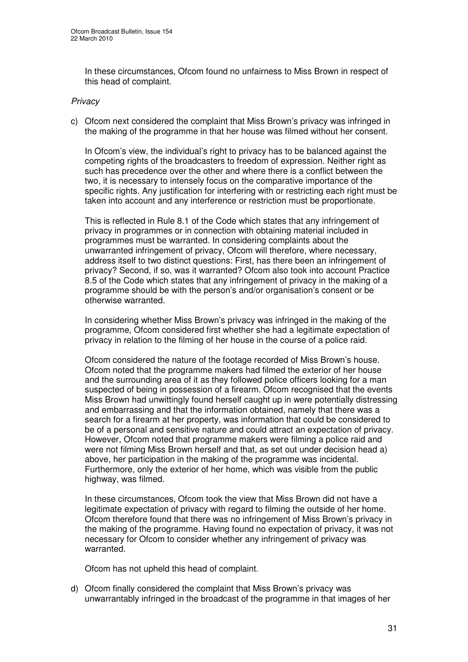In these circumstances, Ofcom found no unfairness to Miss Brown in respect of this head of complaint.

#### *Privacy*

c) Ofcom next considered the complaint that Miss Brown's privacy was infringed in the making of the programme in that her house was filmed without her consent.

In Ofcom's view, the individual's right to privacy has to be balanced against the competing rights of the broadcasters to freedom of expression. Neither right as such has precedence over the other and where there is a conflict between the two, it is necessary to intensely focus on the comparative importance of the specific rights. Any justification for interfering with or restricting each right must be taken into account and any interference or restriction must be proportionate.

This is reflected in Rule 8.1 of the Code which states that any infringement of privacy in programmes or in connection with obtaining material included in programmes must be warranted. In considering complaints about the unwarranted infringement of privacy, Ofcom will therefore, where necessary, address itself to two distinct questions: First, has there been an infringement of privacy? Second, if so, was it warranted? Ofcom also took into account Practice 8.5 of the Code which states that any infringement of privacy in the making of a programme should be with the person's and/or organisation's consent or be otherwise warranted.

In considering whether Miss Brown's privacy was infringed in the making of the programme, Ofcom considered first whether she had a legitimate expectation of privacy in relation to the filming of her house in the course of a police raid.

Ofcom considered the nature of the footage recorded of Miss Brown's house. Ofcom noted that the programme makers had filmed the exterior of her house and the surrounding area of it as they followed police officers looking for a man suspected of being in possession of a firearm. Ofcom recognised that the events Miss Brown had unwittingly found herself caught up in were potentially distressing and embarrassing and that the information obtained, namely that there was a search for a firearm at her property, was information that could be considered to be of a personal and sensitive nature and could attract an expectation of privacy. However, Ofcom noted that programme makers were filming a police raid and were not filming Miss Brown herself and that, as set out under decision head a) above, her participation in the making of the programme was incidental. Furthermore, only the exterior of her home, which was visible from the public highway, was filmed.

In these circumstances, Ofcom took the view that Miss Brown did not have a legitimate expectation of privacy with regard to filming the outside of her home. Ofcom therefore found that there was no infringement of Miss Brown's privacy in the making of the programme. Having found no expectation of privacy, it was not necessary for Ofcom to consider whether any infringement of privacy was warranted.

Ofcom has not upheld this head of complaint.

d) Ofcom finally considered the complaint that Miss Brown's privacy was unwarrantably infringed in the broadcast of the programme in that images of her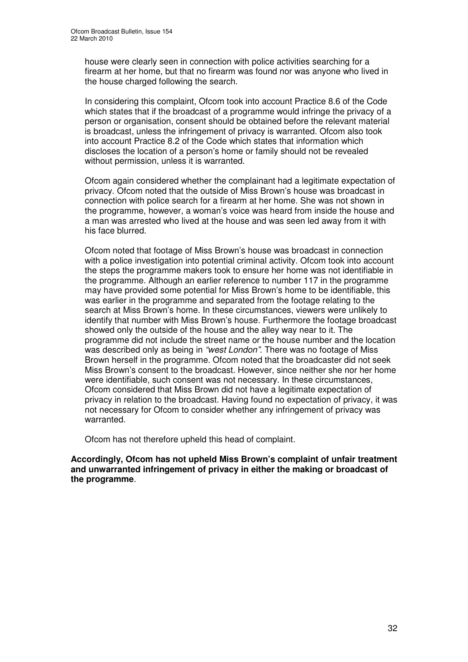house were clearly seen in connection with police activities searching for a firearm at her home, but that no firearm was found nor was anyone who lived in the house charged following the search.

In considering this complaint, Ofcom took into account Practice 8.6 of the Code which states that if the broadcast of a programme would infringe the privacy of a person or organisation, consent should be obtained before the relevant material is broadcast, unless the infringement of privacy is warranted. Ofcom also took into account Practice 8.2 of the Code which states that information which discloses the location of a person's home or family should not be revealed without permission, unless it is warranted.

Ofcom again considered whether the complainant had a legitimate expectation of privacy. Ofcom noted that the outside of Miss Brown's house was broadcast in connection with police search for a firearm at her home. She was not shown in the programme, however, a woman's voice was heard from inside the house and a man was arrested who lived at the house and was seen led away from it with his face blurred.

Ofcom noted that footage of Miss Brown's house was broadcast in connection with a police investigation into potential criminal activity. Ofcom took into account the steps the programme makers took to ensure her home was not identifiable in the programme. Although an earlier reference to number 117 in the programme may have provided some potential for Miss Brown's home to be identifiable, this was earlier in the programme and separated from the footage relating to the search at Miss Brown's home. In these circumstances, viewers were unlikely to identify that number with Miss Brown's house. Furthermore the footage broadcast showed only the outside of the house and the alley way near to it. The programme did not include the street name or the house number and the location was described only as being in *"west London"*. There was no footage of Miss Brown herself in the programme. Ofcom noted that the broadcaster did not seek Miss Brown's consent to the broadcast. However, since neither she nor her home were identifiable, such consent was not necessary. In these circumstances, Ofcom considered that Miss Brown did not have a legitimate expectation of privacy in relation to the broadcast. Having found no expectation of privacy, it was not necessary for Ofcom to consider whether any infringement of privacy was warranted.

Ofcom has not therefore upheld this head of complaint.

**Accordingly, Ofcom has not upheld Miss Brown's complaint of unfair treatment and unwarranted infringement of privacy in either the making or broadcast of the programme**.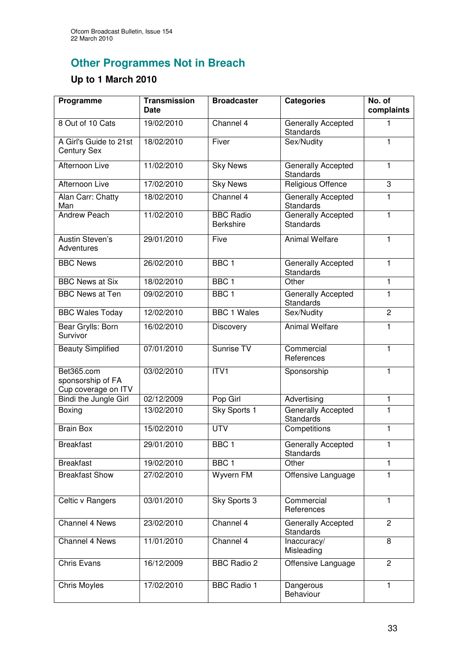# **Other Programmes Not in Breach**

## **Up to 1 March 2010**

| Programme                                              | <b>Transmission</b><br><b>Date</b> | <b>Broadcaster</b>                   | <b>Categories</b>                      | No. of<br>complaints |
|--------------------------------------------------------|------------------------------------|--------------------------------------|----------------------------------------|----------------------|
| 8 Out of 10 Cats                                       | 19/02/2010                         | Channel 4                            | Generally Accepted<br>Standards        | 1                    |
| A Girl's Guide to 21st<br><b>Century Sex</b>           | 18/02/2010                         | Fiver                                | Sex/Nudity                             | $\mathbf{1}$         |
| <b>Afternoon Live</b>                                  | 11/02/2010                         | <b>Sky News</b>                      | Generally Accepted<br>Standards        | 1                    |
| Afternoon Live                                         | 17/02/2010                         | <b>Sky News</b>                      | Religious Offence                      | 3                    |
| Alan Carr: Chatty<br>Man                               | 18/02/2010                         | Channel 4                            | Generally Accepted<br>Standards        | 1                    |
| <b>Andrew Peach</b>                                    | 11/02/2010                         | <b>BBC Radio</b><br><b>Berkshire</b> | Generally Accepted<br><b>Standards</b> | $\mathbf{1}$         |
| Austin Steven's<br>Adventures                          | 29/01/2010                         | Five                                 | <b>Animal Welfare</b>                  | 1                    |
| <b>BBC News</b>                                        | 26/02/2010                         | BBC <sub>1</sub>                     | <b>Generally Accepted</b><br>Standards | $\mathbf{1}$         |
| <b>BBC News at Six</b>                                 | 18/02/2010                         | BBC <sub>1</sub>                     | Other                                  | 1                    |
| <b>BBC</b> News at Ten                                 | 09/02/2010                         | BBC <sub>1</sub>                     | Generally Accepted<br>Standards        | 1                    |
| <b>BBC Wales Today</b>                                 | 12/02/2010                         | <b>BBC 1 Wales</b>                   | Sex/Nudity                             | $\overline{2}$       |
| Bear Grylls: Born<br>Survivor                          | 16/02/2010                         | Discovery                            | <b>Animal Welfare</b>                  | 1                    |
| <b>Beauty Simplified</b>                               | 07/01/2010                         | Sunrise TV                           | Commercial<br>References               | 1                    |
| Bet365.com<br>sponsorship of FA<br>Cup coverage on ITV | 03/02/2010                         | ITVI                                 | Sponsorship                            | 1                    |
| Bindi the Jungle Girl                                  | 02/12/2009                         | Pop Girl                             | Advertising                            | 1                    |
| Boxing                                                 | 13/02/2010                         | Sky Sports 1                         | <b>Generally Accepted</b><br>Standards | 1                    |
| <b>Brain Box</b>                                       | 15/02/2010                         | <b>UTV</b>                           | Competitions                           | 1                    |
| <b>Breakfast</b>                                       | 29/01/2010                         | BBC <sub>1</sub>                     | Generally Accepted<br>Standards        | 1                    |
| <b>Breakfast</b>                                       | 19/02/2010                         | BBC <sub>1</sub>                     | Other                                  | 1                    |
| <b>Breakfast Show</b>                                  | 27/02/2010                         | <b>Wyvern FM</b>                     | Offensive Language                     | 1                    |
| Celtic v Rangers                                       | 03/01/2010                         | Sky Sports 3                         | Commercial<br>References               | 1                    |
| Channel 4 News                                         | 23/02/2010                         | Channel 4                            | Generally Accepted<br>Standards        | $\overline{2}$       |
| Channel 4 News                                         | 11/01/2010                         | Channel 4                            | Inaccuracy/<br>Misleading              | 8                    |
| <b>Chris Evans</b>                                     | 16/12/2009                         | <b>BBC Radio 2</b>                   | Offensive Language                     | $\overline{2}$       |
| Chris Moyles                                           | 17/02/2010                         | <b>BBC Radio 1</b>                   | Dangerous<br>Behaviour                 | 1                    |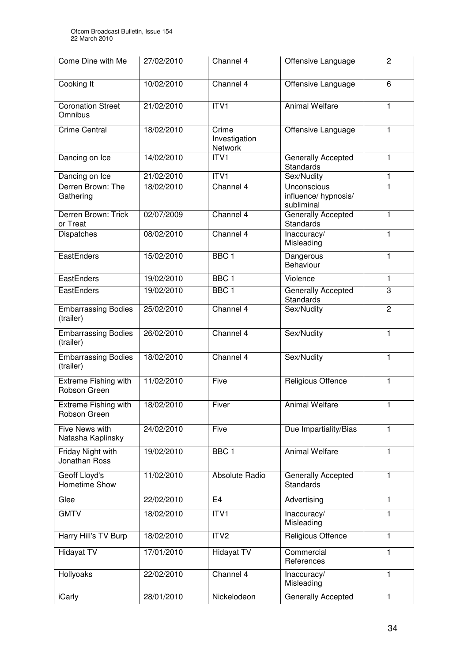| Come Dine with Me                           | 27/02/2010 | Channel 4                         | Offensive Language                                | $\mathbf{2}$   |
|---------------------------------------------|------------|-----------------------------------|---------------------------------------------------|----------------|
| Cooking It                                  | 10/02/2010 | Channel 4                         | Offensive Language                                | 6              |
| <b>Coronation Street</b><br>Omnibus         | 21/02/2010 | ITVI                              | <b>Animal Welfare</b>                             | 1              |
| <b>Crime Central</b>                        | 18/02/2010 | Crime<br>Investigation<br>Network | Offensive Language                                | 1              |
| Dancing on Ice                              | 14/02/2010 | ITVI                              | <b>Generally Accepted</b><br>Standards            | 1              |
| Dancing on Ice                              | 21/02/2010 | ITV <sub>1</sub>                  | Sex/Nudity                                        | 1              |
| Derren Brown: The<br>Gathering              | 18/02/2010 | Channel 4                         | Unconscious<br>influence/ hypnosis/<br>subliminal | 1              |
| Derren Brown: Trick<br>or Treat             | 02/07/2009 | Channel 4                         | Generally Accepted<br><b>Standards</b>            | 1              |
| Dispatches                                  | 08/02/2010 | Channel 4                         | Inaccuracy/<br>Misleading                         | 1              |
| <b>EastEnders</b>                           | 15/02/2010 | BBC <sub>1</sub>                  | Dangerous<br>Behaviour                            | 1              |
| <b>EastEnders</b>                           | 19/02/2010 | BBC <sub>1</sub>                  | Violence                                          | 1              |
| EastEnders                                  | 19/02/2010 | BBC <sub>1</sub>                  | Generally Accepted<br><b>Standards</b>            | 3              |
| <b>Embarrassing Bodies</b><br>(trailer)     | 25/02/2010 | Channel 4                         | Sex/Nudity                                        | $\overline{2}$ |
| <b>Embarrassing Bodies</b><br>(trailer)     | 26/02/2010 | Channel 4                         | Sex/Nudity                                        | 1              |
| <b>Embarrassing Bodies</b><br>(trailer)     | 18/02/2010 | Channel 4                         | Sex/Nudity                                        | 1              |
| <b>Extreme Fishing with</b><br>Robson Green | 11/02/2010 | Five                              | Religious Offence                                 | $\mathbf{1}$   |
| <b>Extreme Fishing with</b><br>Robson Green | 18/02/2010 | Fiver                             | <b>Animal Welfare</b>                             | 1              |
| Five News with<br>Natasha Kaplinsky         | 24/02/2010 | Five                              | Due Impartiality/Bias                             | 1              |
| Friday Night with<br>Jonathan Ross          | 19/02/2010 | BBC <sub>1</sub>                  | Animal Welfare                                    | 1              |
| <b>Geoff Lloyd's</b><br>Hometime Show       | 11/02/2010 | Absolute Radio                    | Generally Accepted<br><b>Standards</b>            | 1              |
| Glee                                        | 22/02/2010 | E <sub>4</sub>                    | Advertising                                       | 1              |
| <b>GMTV</b>                                 | 18/02/2010 | ITVI                              | Inaccuracy/<br>Misleading                         | 1              |
| Harry Hill's TV Burp                        | 18/02/2010 | ITV <sub>2</sub>                  | Religious Offence                                 | 1              |
| <b>Hidayat TV</b>                           | 17/01/2010 | <b>Hidayat TV</b>                 | Commercial<br>References                          | 1              |
| Hollyoaks                                   | 22/02/2010 | Channel 4                         | Inaccuracy/<br>Misleading                         | 1              |
| iCarly                                      | 28/01/2010 | Nickelodeon                       | Generally Accepted                                | 1              |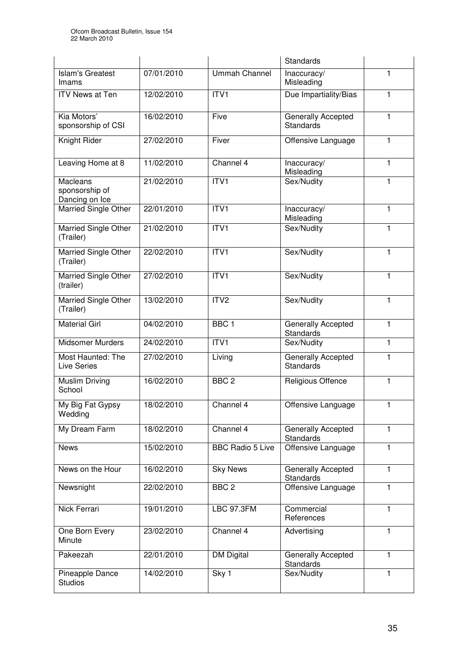|                                                     |            |                         | <b>Standards</b>                       |              |
|-----------------------------------------------------|------------|-------------------------|----------------------------------------|--------------|
| <b>Islam's Greatest</b><br>Imams                    | 07/01/2010 | <b>Ummah Channel</b>    | Inaccuracy/<br>Misleading              | 1            |
| <b>ITV News at Ten</b>                              | 12/02/2010 | ITVI                    | Due Impartiality/Bias                  | $\mathbf{1}$ |
| Kia Motors'<br>sponsorship of CSI                   | 16/02/2010 | Five                    | Generally Accepted<br><b>Standards</b> | 1            |
| Knight Rider                                        | 27/02/2010 | Fiver                   | Offensive Language                     | $\mathbf{1}$ |
| Leaving Home at 8                                   | 11/02/2010 | Channel 4               | Inaccuracy/<br>Misleading              | 1            |
| <b>Macleans</b><br>sponsorship of<br>Dancing on Ice | 21/02/2010 | ITV1                    | Sex/Nudity                             | 1            |
| Married Single Other                                | 22/01/2010 | ITVI                    | Inaccuracy/<br>Misleading              | 1            |
| Married Single Other<br>(Trailer)                   | 21/02/2010 | ITV1                    | Sex/Nudity                             | 1            |
| Married Single Other<br>(Trailer)                   | 22/02/2010 | ITVI                    | Sex/Nudity                             | 1            |
| Married Single Other<br>(trailer)                   | 27/02/2010 | ITVI                    | Sex/Nudity                             | 1            |
| Married Single Other<br>(Trailer)                   | 13/02/2010 | ITV <sub>2</sub>        | Sex/Nudity                             | 1            |
| <b>Material Girl</b>                                | 04/02/2010 | BBC <sub>1</sub>        | Generally Accepted<br>Standards        | 1            |
| <b>Midsomer Murders</b>                             | 24/02/2010 | ITV1                    | Sex/Nudity                             | 1            |
| Most Haunted: The<br><b>Live Series</b>             | 27/02/2010 | Living                  | Generally Accepted<br>Standards        | 1            |
| Muslim Driving<br>School                            | 16/02/2010 | BBC <sub>2</sub>        | Religious Offence                      | 1            |
| My Big Fat Gypsy<br>Wedding                         | 18/02/2010 | Channel 4               | Offensive Language                     | 1            |
| My Dream Farm                                       | 18/02/2010 | Channel 4               | Generally Accepted<br><b>Standards</b> | 1            |
| <b>News</b>                                         | 15/02/2010 | <b>BBC Radio 5 Live</b> | Offensive Language                     | 1            |
| News on the Hour                                    | 16/02/2010 | <b>Sky News</b>         | Generally Accepted<br><b>Standards</b> | 1            |
| Newsnight                                           | 22/02/2010 | BBC <sub>2</sub>        | Offensive Language                     | 1            |
| Nick Ferrari                                        | 19/01/2010 | LBC 97.3FM              | Commercial<br>References               | 1            |
| One Born Every<br>Minute                            | 23/02/2010 | Channel 4               | Advertising                            | 1            |
| Pakeezah                                            | 22/01/2010 | <b>DM Digital</b>       | Generally Accepted<br>Standards        | 1            |
| Pineapple Dance<br><b>Studios</b>                   | 14/02/2010 | Sky 1                   | Sex/Nudity                             | 1            |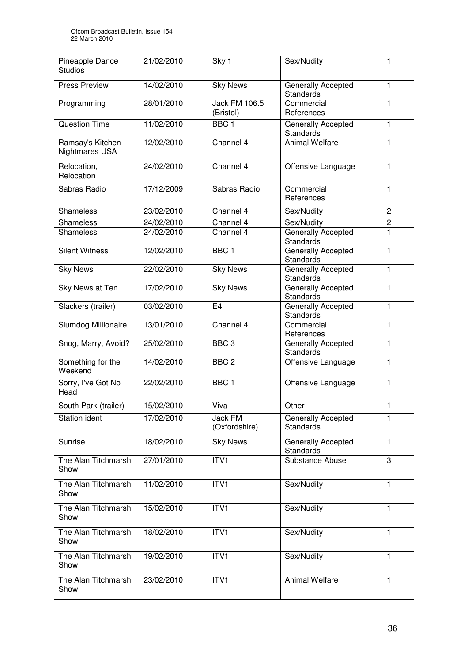| Pineapple Dance<br><b>Studios</b>  | 21/02/2010 | Sky 1                      | Sex/Nudity                             | 1                       |
|------------------------------------|------------|----------------------------|----------------------------------------|-------------------------|
| Press Preview                      | 14/02/2010 | <b>Sky News</b>            | <b>Generally Accepted</b><br>Standards | $\mathbf{1}$            |
| Programming                        | 28/01/2010 | Jack FM 106.5<br>(Bristol) | Commercial<br>References               | 1                       |
| Question Time                      | 11/02/2010 | BBC <sub>1</sub>           | Generally Accepted<br>Standards        | $\mathbf{1}$            |
| Ramsay's Kitchen<br>Nightmares USA | 12/02/2010 | Channel 4                  | <b>Animal Welfare</b>                  | $\mathbf{1}$            |
| Relocation,<br>Relocation          | 24/02/2010 | Channel 4                  | Offensive Language                     | $\mathbf{1}$            |
| Sabras Radio                       | 17/12/2009 | Sabras Radio               | Commercial<br>References               | $\mathbf{1}$            |
| Shameless                          | 23/02/2010 | Channel 4                  | Sex/Nudity                             | $\overline{c}$          |
| Shameless                          | 24/02/2010 | Channel 4                  | Sex/Nudity                             | $\overline{\mathbf{c}}$ |
| <b>Shameless</b>                   | 24/02/2010 | Channel 4                  | Generally Accepted<br>Standards        | 1                       |
| <b>Silent Witness</b>              | 12/02/2010 | BBC <sub>1</sub>           | Generally Accepted<br><b>Standards</b> | $\mathbf{1}$            |
| <b>Sky News</b>                    | 22/02/2010 | <b>Sky News</b>            | Generally Accepted<br><b>Standards</b> | 1                       |
| Sky News at Ten                    | 17/02/2010 | <b>Sky News</b>            | Generally Accepted<br>Standards        | 1                       |
| Slackers (trailer)                 | 03/02/2010 | E <sub>4</sub>             | Generally Accepted<br><b>Standards</b> | $\mathbf{1}$            |
| Slumdog Millionaire                | 13/01/2010 | Channel 4                  | Commercial<br>References               | $\mathbf{1}$            |
| Snog, Marry, Avoid?                | 25/02/2010 | BBC <sub>3</sub>           | Generally Accepted<br><b>Standards</b> | $\mathbf{1}$            |
| Something for the<br>Weekend       | 14/02/2010 | BBC <sub>2</sub>           | Offensive Language                     | 1                       |
| Sorry, I've Got No<br>Head         | 22/02/2010 | BBC <sub>1</sub>           | Offensive Language                     | 1                       |
| South Park (trailer)               | 15/02/2010 | Viva                       | Other                                  | 1.                      |
| Station ident                      | 17/02/2010 | Jack FM<br>(Oxfordshire)   | Generally Accepted<br><b>Standards</b> | 1                       |
| Sunrise                            | 18/02/2010 | <b>Sky News</b>            | Generally Accepted<br><b>Standards</b> | 1                       |
| The Alan Titchmarsh<br>Show        | 27/01/2010 | ITVI                       | Substance Abuse                        | 3                       |
| The Alan Titchmarsh<br>Show        | 11/02/2010 | ITV1                       | Sex/Nudity                             | 1                       |
| The Alan Titchmarsh<br>Show        | 15/02/2010 | ITV1                       | Sex/Nudity                             | 1                       |
| The Alan Titchmarsh<br>Show        | 18/02/2010 | ITV1                       | Sex/Nudity                             | 1                       |
| The Alan Titchmarsh<br>Show        | 19/02/2010 | ITV <sub>1</sub>           | Sex/Nudity                             | 1                       |
| The Alan Titchmarsh<br>Show        | 23/02/2010 | ITV1                       | <b>Animal Welfare</b>                  | 1                       |